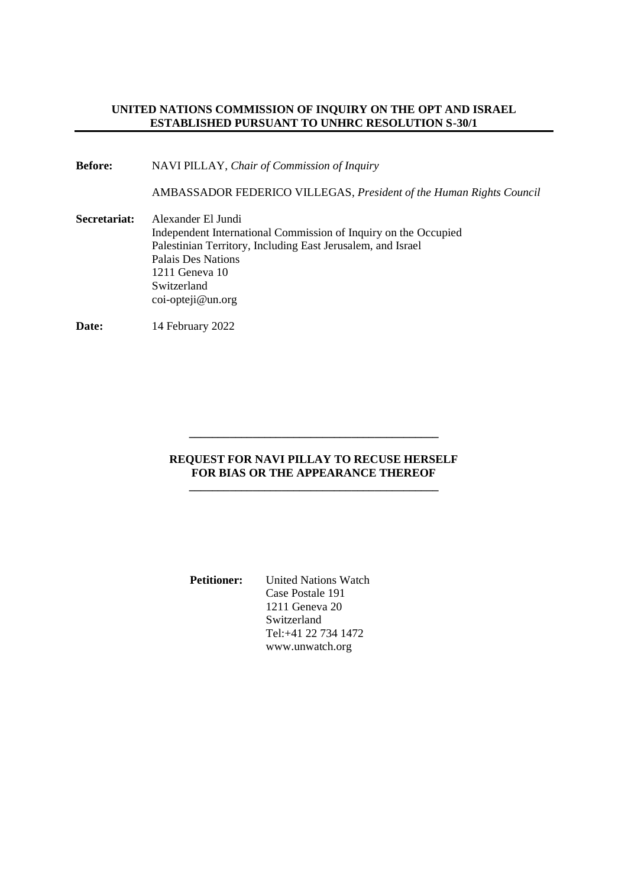# **UNITED NATIONS COMMISSION OF INQUIRY ON THE OPT AND ISRAEL ESTABLISHED PURSUANT TO UNHRC RESOLUTION S-30/1**

**Before:** NAVI PILLAY, *Chair of Commission of Inquiry*

AMBASSADOR FEDERICO VILLEGAS, *President of the Human Rights Council*

**Secretariat:** Alexander El Jundi Independent International Commission of Inquiry on the Occupied Palestinian Territory, Including East Jerusalem, and Israel Palais Des Nations 1211 Geneva 10 Switzerland coi-opteji@un.org

**Date:** 14 February 2022

### **REQUEST FOR NAVI PILLAY TO RECUSE HERSELF FOR BIAS OR THE APPEARANCE THEREOF \_\_\_\_\_\_\_\_\_\_\_\_\_\_\_\_\_\_\_\_\_\_\_\_\_\_\_\_\_\_\_\_\_\_\_\_\_\_\_\_\_\_\_**

**\_\_\_\_\_\_\_\_\_\_\_\_\_\_\_\_\_\_\_\_\_\_\_\_\_\_\_\_\_\_\_\_\_\_\_\_\_\_\_\_\_\_\_**

| <b>Petitioner:</b> | <b>United Nations Watch</b> |
|--------------------|-----------------------------|
|                    | Case Postale 191            |
|                    | 1211 Geneva 20              |
|                    | Switzerland                 |
|                    | Tel:+41 22 734 1472         |
|                    | www.unwatch.org             |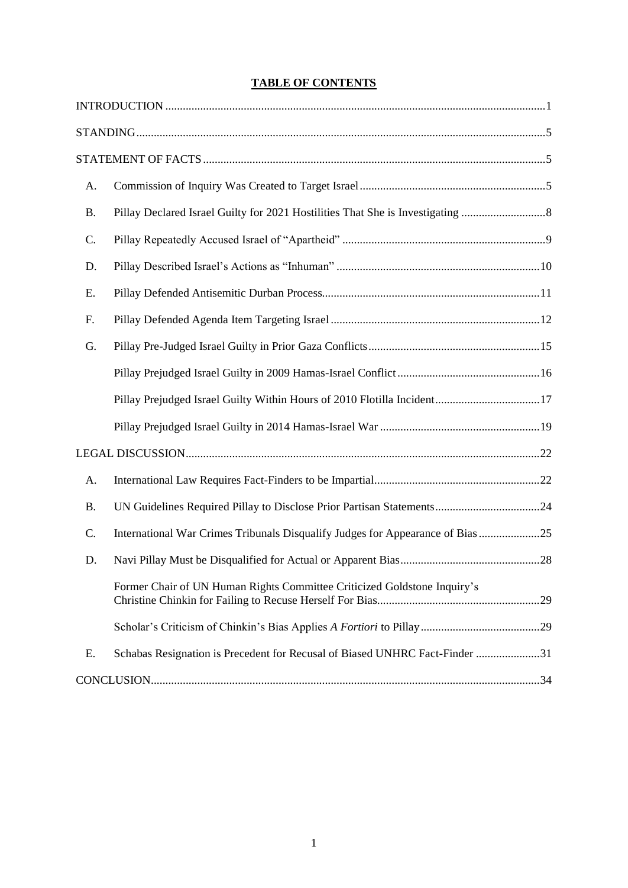# **TABLE OF CONTENTS**

| A.        |                                                                                |  |
|-----------|--------------------------------------------------------------------------------|--|
| <b>B.</b> |                                                                                |  |
| C.        |                                                                                |  |
| D.        |                                                                                |  |
| Ε.        |                                                                                |  |
| F.        |                                                                                |  |
| G.        |                                                                                |  |
|           |                                                                                |  |
|           | Pillay Prejudged Israel Guilty Within Hours of 2010 Flotilla Incident17        |  |
|           |                                                                                |  |
|           |                                                                                |  |
| A.        |                                                                                |  |
| <b>B.</b> |                                                                                |  |
| C.        | International War Crimes Tribunals Disqualify Judges for Appearance of Bias 25 |  |
| D.        |                                                                                |  |
|           | Former Chair of UN Human Rights Committee Criticized Goldstone Inquiry's       |  |
|           |                                                                                |  |
| Ε.        | Schabas Resignation is Precedent for Recusal of Biased UNHRC Fact-Finder 31    |  |
|           |                                                                                |  |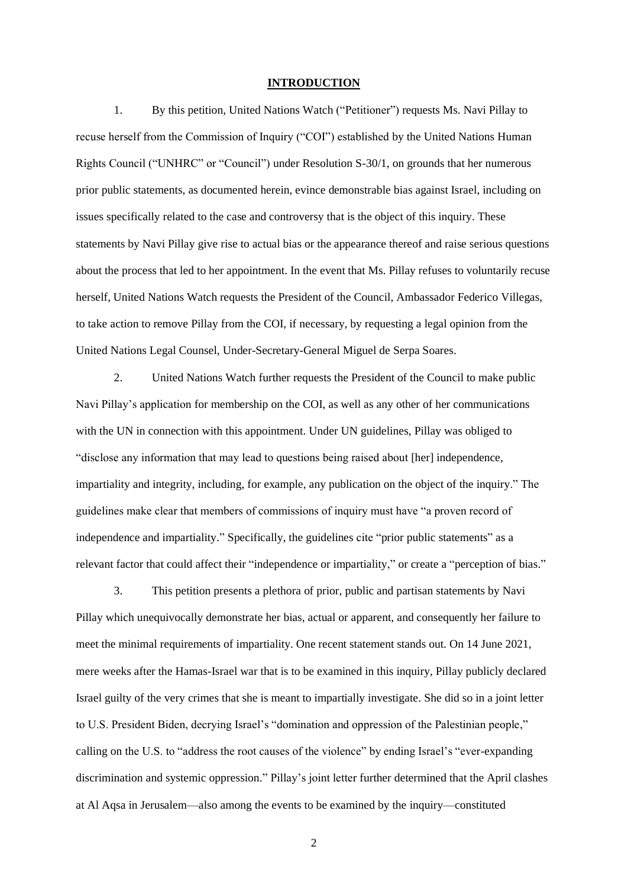#### **INTRODUCTION**

1. By this petition, United Nations Watch ("Petitioner") requests Ms. Navi Pillay to recuse herself from the Commission of Inquiry ("COI") established by the United Nations Human Rights Council ("UNHRC" or "Council") under Resolution S-30/1, on grounds that her numerous prior public statements, as documented herein, evince demonstrable bias against Israel, including on issues specifically related to the case and controversy that is the object of this inquiry. These statements by Navi Pillay give rise to actual bias or the appearance thereof and raise serious questions about the process that led to her appointment. In the event that Ms. Pillay refuses to voluntarily recuse herself, United Nations Watch requests the President of the Council, Ambassador Federico Villegas, to take action to remove Pillay from the COI, if necessary, by requesting a legal opinion from the United Nations Legal Counsel, Under-Secretary-General Miguel de Serpa Soares.

2. United Nations Watch further requests the President of the Council to make public Navi Pillay's application for membership on the COI, as well as any other of her communications with the UN in connection with this appointment. Under UN guidelines, Pillay was obliged to "disclose any information that may lead to questions being raised about [her] independence, impartiality and integrity, including, for example, any publication on the object of the inquiry." The guidelines make clear that members of commissions of inquiry must have "a proven record of independence and impartiality." Specifically, the guidelines cite "prior public statements" as a relevant factor that could affect their "independence or impartiality," or create a "perception of bias."

3. This petition presents a plethora of prior, public and partisan statements by Navi Pillay which unequivocally demonstrate her bias, actual or apparent, and consequently her failure to meet the minimal requirements of impartiality. One recent statement stands out. On 14 June 2021, mere weeks after the Hamas-Israel war that is to be examined in this inquiry, Pillay publicly declared Israel guilty of the very crimes that she is meant to impartially investigate. She did so in a joint letter to U.S. President Biden, decrying Israel's "domination and oppression of the Palestinian people," calling on the U.S. to "address the root causes of the violence" by ending Israel's "ever-expanding discrimination and systemic oppression." Pillay's joint letter further determined that the April clashes at Al Aqsa in Jerusalem—also among the events to be examined by the inquiry—constituted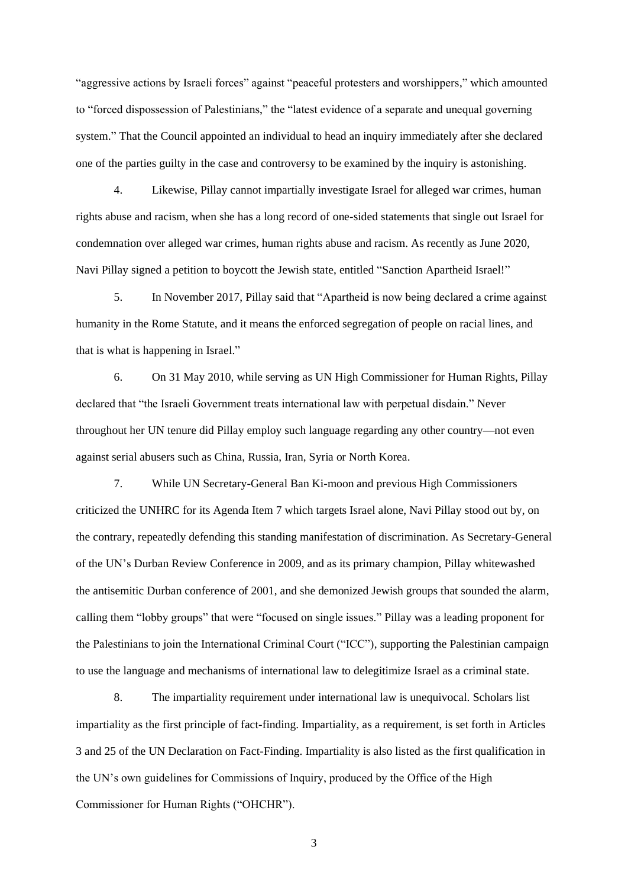"aggressive actions by Israeli forces" against "peaceful protesters and worshippers," which amounted to "forced dispossession of Palestinians," the "latest evidence of a separate and unequal governing system." That the Council appointed an individual to head an inquiry immediately after she declared one of the parties guilty in the case and controversy to be examined by the inquiry is astonishing.

4. Likewise, Pillay cannot impartially investigate Israel for alleged war crimes, human rights abuse and racism, when she has a long record of one-sided statements that single out Israel for condemnation over alleged war crimes, human rights abuse and racism. As recently as June 2020, Navi Pillay signed a petition to boycott the Jewish state, entitled "Sanction Apartheid Israel!"

5. In November 2017, Pillay said that "Apartheid is now being declared a crime against humanity in the Rome Statute, and it means the enforced segregation of people on racial lines, and that is what is happening in Israel."

6. On 31 May 2010, while serving as UN High Commissioner for Human Rights, Pillay declared that "the Israeli Government treats international law with perpetual disdain." Never throughout her UN tenure did Pillay employ such language regarding any other country—not even against serial abusers such as China, Russia, Iran, Syria or North Korea.

7. While UN Secretary-General Ban Ki-moon and previous High Commissioners criticized the UNHRC for its Agenda Item 7 which targets Israel alone, Navi Pillay stood out by, on the contrary, repeatedly defending this standing manifestation of discrimination. As Secretary-General of the UN's Durban Review Conference in 2009, and as its primary champion, Pillay whitewashed the antisemitic Durban conference of 2001, and she demonized Jewish groups that sounded the alarm, calling them "lobby groups" that were "focused on single issues." Pillay was a leading proponent for the Palestinians to join the International Criminal Court ("ICC"), supporting the Palestinian campaign to use the language and mechanisms of international law to delegitimize Israel as a criminal state.

8. The impartiality requirement under international law is unequivocal. Scholars list impartiality as the first principle of fact-finding. Impartiality, as a requirement, is set forth in Articles 3 and 25 of the UN Declaration on Fact-Finding. Impartiality is also listed as the first qualification in the UN's own guidelines for Commissions of Inquiry, produced by the Office of the High Commissioner for Human Rights ("OHCHR").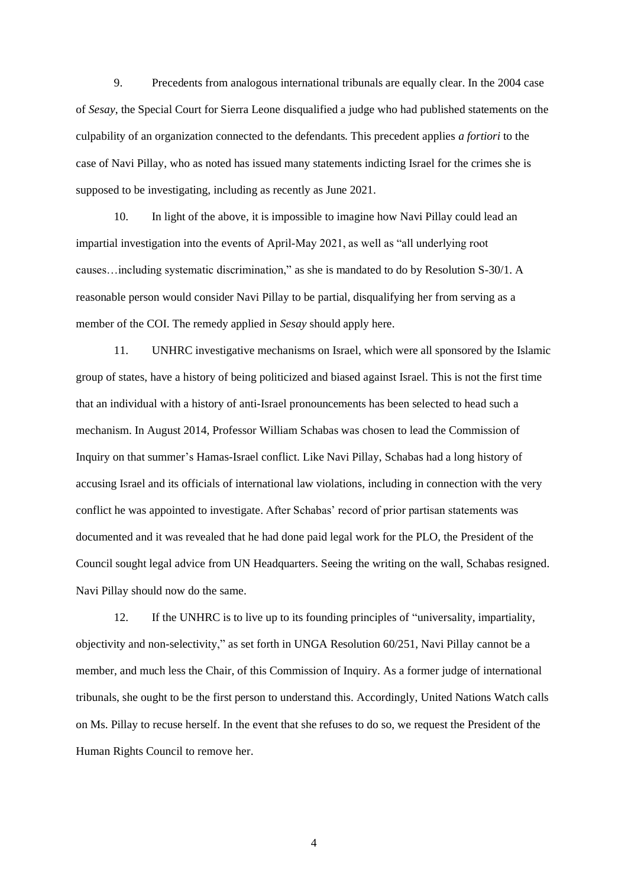9. Precedents from analogous international tribunals are equally clear. In the 2004 case of *Sesay*, the Special Court for Sierra Leone disqualified a judge who had published statements on the culpability of an organization connected to the defendants. This precedent applies *a fortiori* to the case of Navi Pillay, who as noted has issued many statements indicting Israel for the crimes she is supposed to be investigating, including as recently as June 2021.

10. In light of the above, it is impossible to imagine how Navi Pillay could lead an impartial investigation into the events of April-May 2021, as well as "all underlying root causes…including systematic discrimination," as she is mandated to do by Resolution S-30/1. A reasonable person would consider Navi Pillay to be partial, disqualifying her from serving as a member of the COI. The remedy applied in *Sesay* should apply here.

11. UNHRC investigative mechanisms on Israel, which were all sponsored by the Islamic group of states, have a history of being politicized and biased against Israel. This is not the first time that an individual with a history of anti-Israel pronouncements has been selected to head such a mechanism. In August 2014, Professor William Schabas was chosen to lead the Commission of Inquiry on that summer's Hamas-Israel conflict. Like Navi Pillay, Schabas had a long history of accusing Israel and its officials of international law violations, including in connection with the very conflict he was appointed to investigate. After Schabas' record of prior partisan statements was documented and it was revealed that he had done paid legal work for the PLO, the President of the Council sought legal advice from UN Headquarters. Seeing the writing on the wall, Schabas resigned. Navi Pillay should now do the same.

12. If the UNHRC is to live up to its founding principles of "universality, impartiality, objectivity and non-selectivity," as set forth in UNGA Resolution 60/251, Navi Pillay cannot be a member, and much less the Chair, of this Commission of Inquiry. As a former judge of international tribunals, she ought to be the first person to understand this. Accordingly, United Nations Watch calls on Ms. Pillay to recuse herself. In the event that she refuses to do so, we request the President of the Human Rights Council to remove her.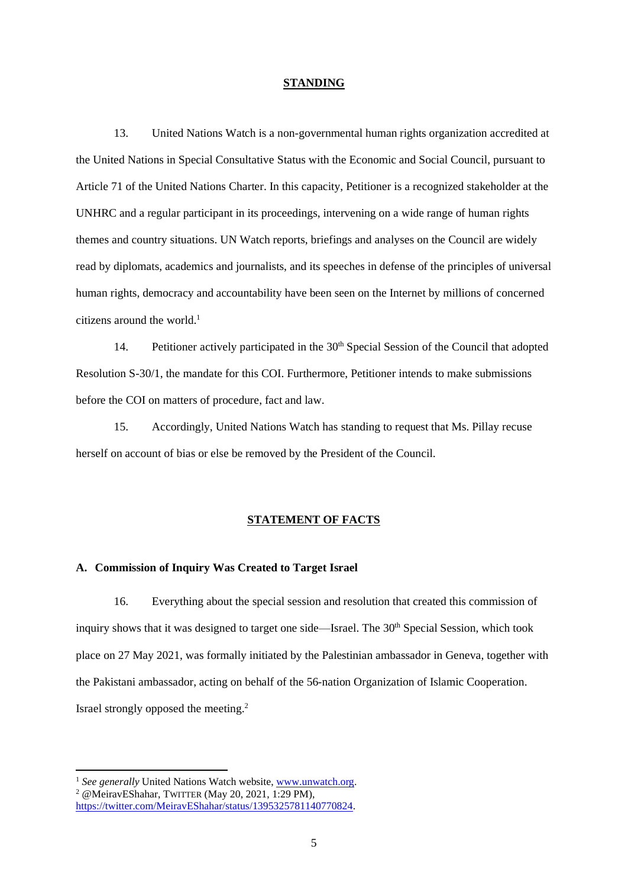#### **STANDING**

13. United Nations Watch is a non-governmental human rights organization accredited at the United Nations in Special Consultative Status with the Economic and Social Council, pursuant to Article 71 of the United Nations Charter. In this capacity, Petitioner is a recognized stakeholder at the UNHRC and a regular participant in its proceedings, intervening on a wide range of human rights themes and country situations. UN Watch reports, briefings and analyses on the Council are widely read by diplomats, academics and journalists, and its speeches in defense of the principles of universal human rights, democracy and accountability have been seen on the Internet by millions of concerned citizens around the world.<sup>1</sup>

14. Petitioner actively participated in the 30<sup>th</sup> Special Session of the Council that adopted Resolution S-30/1, the mandate for this COI. Furthermore, Petitioner intends to make submissions before the COI on matters of procedure, fact and law.

15. Accordingly, United Nations Watch has standing to request that Ms. Pillay recuse herself on account of bias or else be removed by the President of the Council.

#### **STATEMENT OF FACTS**

# **A. Commission of Inquiry Was Created to Target Israel**

16. Everything about the special session and resolution that created this commission of inquiry shows that it was designed to target one side—Israel. The 30<sup>th</sup> Special Session, which took place on 27 May 2021, was formally initiated by the Palestinian ambassador in Geneva, together with the Pakistani ambassador, acting on behalf of the 56-nation Organization of Islamic Cooperation. Israel strongly opposed the meeting.<sup>2</sup>

<sup>1</sup> See generally United Nations Watch website, [www.unwatch.org.](http://www.unwatch.org/) <sup>2</sup> @MeiravEShahar, TWITTER (May 20, 2021, 1:29 PM),

[https://twitter.com/MeiravEShahar/status/1395325781140770824.](https://twitter.com/MeiravEShahar/status/1395325781140770824)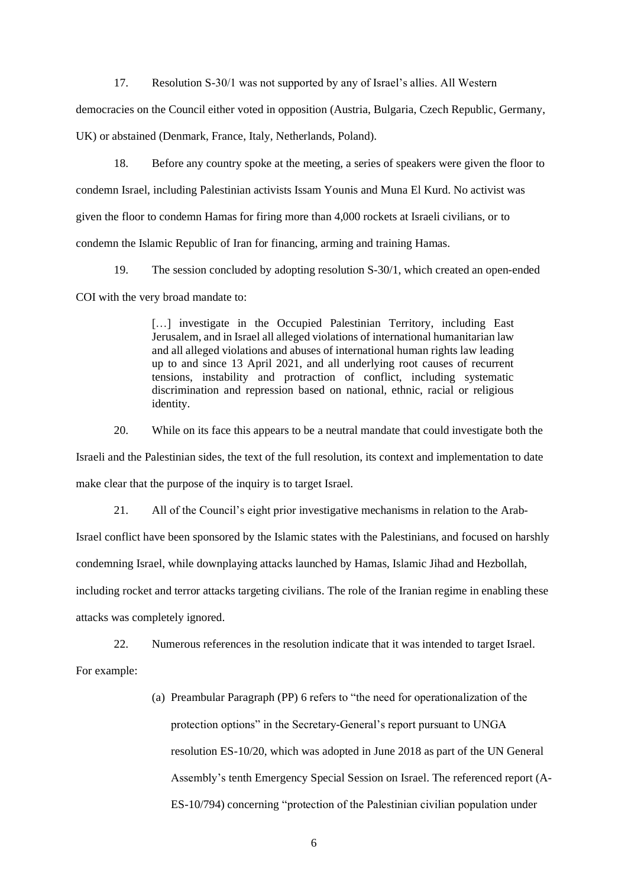17. Resolution S-30/1 was not supported by any of Israel's allies. All Western

democracies on the Council either voted in opposition (Austria, Bulgaria, Czech Republic, Germany,

UK) or abstained (Denmark, France, Italy, Netherlands, Poland).

18. Before any country spoke at the meeting, a series of speakers were given the floor to condemn Israel, including Palestinian activists Issam Younis and Muna El Kurd. No activist was given the floor to condemn Hamas for firing more than 4,000 rockets at Israeli civilians, or to condemn the Islamic Republic of Iran for financing, arming and training Hamas.

19. The session concluded by adopting resolution S-30/1, which created an open-ended COI with the very broad mandate to:

> [...] investigate in the Occupied Palestinian Territory, including East Jerusalem, and in Israel all alleged violations of international humanitarian law and all alleged violations and abuses of international human rights law leading up to and since 13 April 2021, and all underlying root causes of recurrent tensions, instability and protraction of conflict, including systematic discrimination and repression based on national, ethnic, racial or religious identity.

20. While on its face this appears to be a neutral mandate that could investigate both the

Israeli and the Palestinian sides, the text of the full resolution, its context and implementation to date make clear that the purpose of the inquiry is to target Israel.

21. All of the Council's eight prior investigative mechanisms in relation to the Arab-

Israel conflict have been sponsored by the Islamic states with the Palestinians, and focused on harshly

condemning Israel, while downplaying attacks launched by Hamas, Islamic Jihad and Hezbollah,

including rocket and terror attacks targeting civilians. The role of the Iranian regime in enabling these attacks was completely ignored.

22. Numerous references in the resolution indicate that it was intended to target Israel.

For example:

(a) Preambular Paragraph (PP) 6 refers to "the need for operationalization of the protection options" in the Secretary-General's report pursuant to UNGA resolution ES-10/20, which was adopted in June 2018 as part of the UN General Assembly's tenth Emergency Special Session on Israel. The referenced report (A-ES-10/794) concerning "protection of the Palestinian civilian population under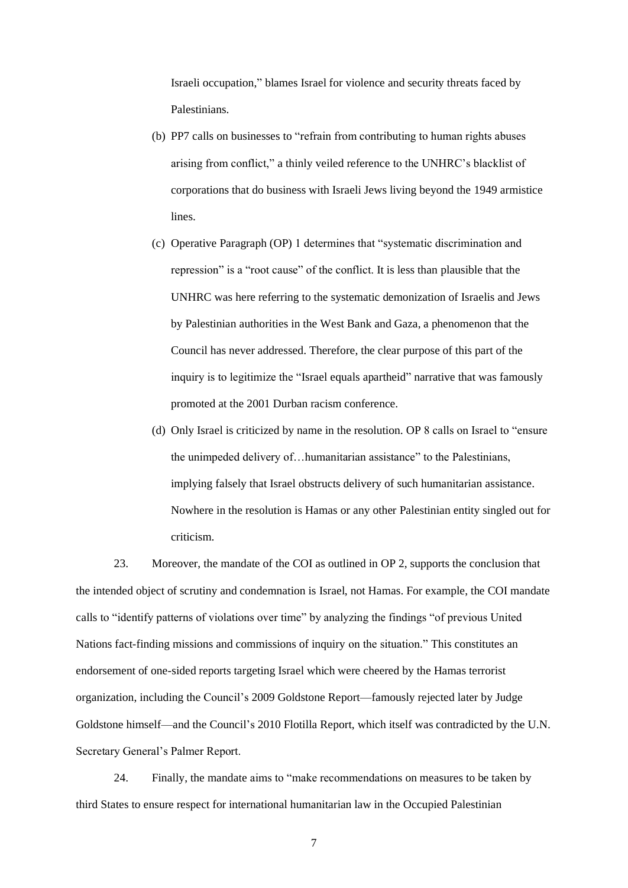Israeli occupation," blames Israel for violence and security threats faced by Palestinians.

- (b) PP7 calls on businesses to "refrain from contributing to human rights abuses arising from conflict," a thinly veiled reference to the UNHRC's blacklist of corporations that do business with Israeli Jews living beyond the 1949 armistice lines.
- (c) Operative Paragraph (OP) 1 determines that "systematic discrimination and repression" is a "root cause" of the conflict. It is less than plausible that the UNHRC was here referring to the systematic demonization of Israelis and Jews by Palestinian authorities in the West Bank and Gaza, a phenomenon that the Council has never addressed. Therefore, the clear purpose of this part of the inquiry is to legitimize the "Israel equals apartheid" narrative that was famously promoted at the 2001 Durban racism conference.
- (d) Only Israel is criticized by name in the resolution. OP 8 calls on Israel to "ensure the unimpeded delivery of…humanitarian assistance" to the Palestinians, implying falsely that Israel obstructs delivery of such humanitarian assistance. Nowhere in the resolution is Hamas or any other Palestinian entity singled out for criticism.

23. Moreover, the mandate of the COI as outlined in OP 2, supports the conclusion that the intended object of scrutiny and condemnation is Israel, not Hamas. For example, the COI mandate calls to "identify patterns of violations over time" by analyzing the findings "of previous United Nations fact-finding missions and commissions of inquiry on the situation." This constitutes an endorsement of one-sided reports targeting Israel which were cheered by the Hamas terrorist organization, including the Council's 2009 Goldstone Report—famously rejected later by Judge Goldstone himself—and the Council's 2010 Flotilla Report, which itself was contradicted by the U.N. Secretary General's Palmer Report.

24. Finally, the mandate aims to "make recommendations on measures to be taken by third States to ensure respect for international humanitarian law in the Occupied Palestinian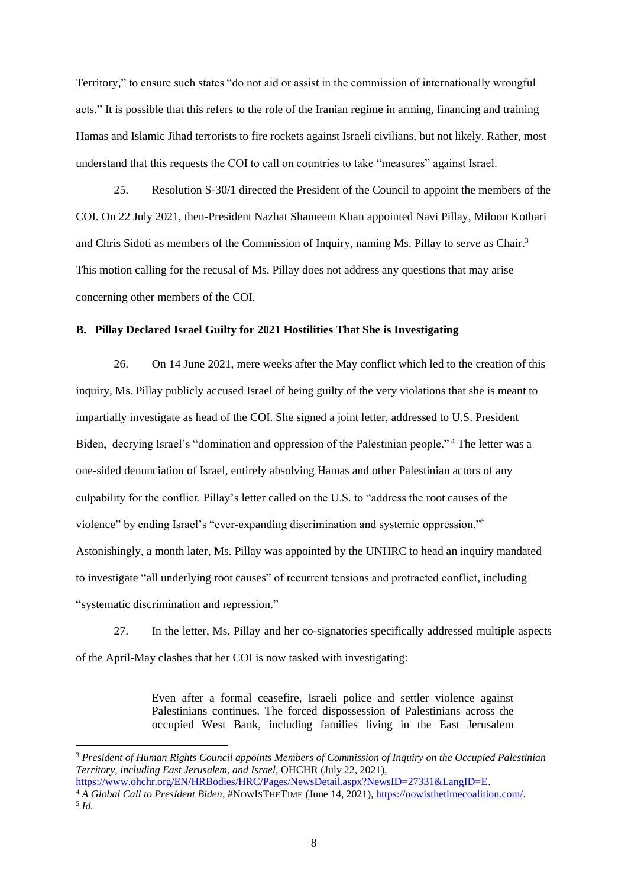Territory," to ensure such states "do not aid or assist in the commission of internationally wrongful acts." It is possible that this refers to the role of the Iranian regime in arming, financing and training Hamas and Islamic Jihad terrorists to fire rockets against Israeli civilians, but not likely. Rather, most understand that this requests the COI to call on countries to take "measures" against Israel.

25. Resolution S-30/1 directed the President of the Council to appoint the members of the COI. On 22 July 2021, then-President Nazhat Shameem Khan appointed Navi Pillay, Miloon Kothari and Chris Sidoti as members of the Commission of Inquiry, naming Ms. Pillay to serve as Chair.<sup>3</sup> This motion calling for the recusal of Ms. Pillay does not address any questions that may arise concerning other members of the COI.

# **B. Pillay Declared Israel Guilty for 2021 Hostilities That She is Investigating**

26. On 14 June 2021, mere weeks after the May conflict which led to the creation of this inquiry, Ms. Pillay publicly accused Israel of being guilty of the very violations that she is meant to impartially investigate as head of the COI. She signed a joint letter, addressed to U.S. President Biden, decrying Israel's "domination and oppression of the Palestinian people." <sup>4</sup> The letter was a one-sided denunciation of Israel, entirely absolving Hamas and other Palestinian actors of any culpability for the conflict. Pillay's letter called on the U.S. to "address the root causes of the violence" by ending Israel's "ever-expanding discrimination and systemic oppression."<sup>5</sup> Astonishingly, a month later, Ms. Pillay was appointed by the UNHRC to head an inquiry mandated to investigate "all underlying root causes" of recurrent tensions and protracted conflict, including "systematic discrimination and repression."

27. In the letter, Ms. Pillay and her co-signatories specifically addressed multiple aspects of the April-May clashes that her COI is now tasked with investigating:

> Even after a formal ceasefire, Israeli police and settler violence against Palestinians continues. The forced dispossession of Palestinians across the occupied West Bank, including families living in the East Jerusalem

<sup>3</sup> *President of Human Rights Council appoints Members of Commission of Inquiry on the Occupied Palestinian Territory, including East Jerusalem, and Israel*, OHCHR (July 22, 2021), [https://www.ohchr.org/EN/HRBodies/HRC/Pages/NewsDetail.aspx?NewsID=27331&LangID=E.](https://www.ohchr.org/EN/HRBodies/HRC/Pages/NewsDetail.aspx?NewsID=27331&LangID=E) <sup>4</sup> *A Global Call to President Biden*, #NOWISTHETIME (June 14, 2021)[, https://nowisthetimecoalition.com/.](https://nowisthetimecoalition.com/)

<sup>5</sup> *Id.*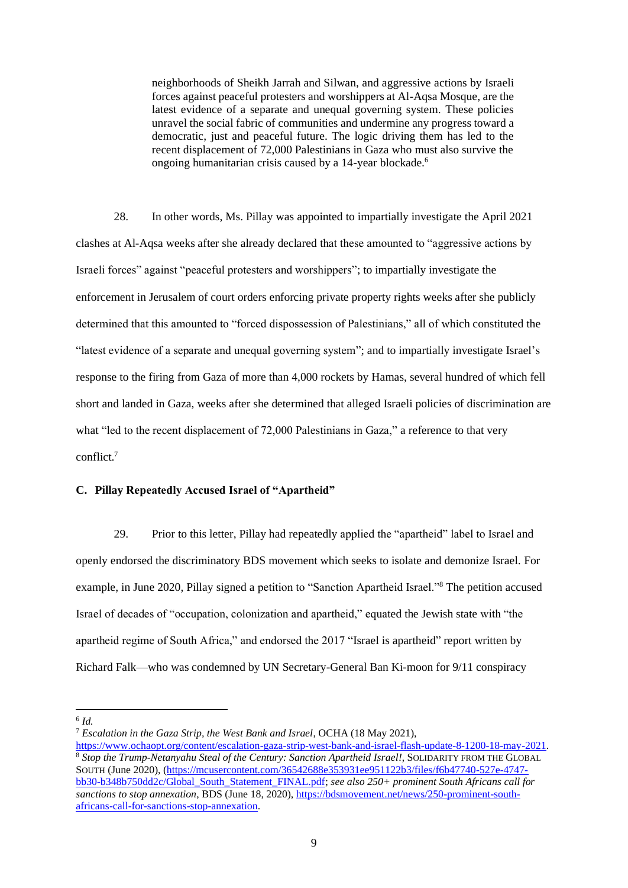neighborhoods of Sheikh Jarrah and Silwan, and aggressive actions by Israeli forces against peaceful protesters and worshippers at Al-Aqsa Mosque, are the latest evidence of a separate and unequal governing system. These policies unravel the social fabric of communities and undermine any progress toward a democratic, just and peaceful future. The logic driving them has led to the recent displacement of 72,000 Palestinians in Gaza who must also survive the ongoing humanitarian crisis caused by a 14-year blockade.<sup>6</sup>

28. In other words, Ms. Pillay was appointed to impartially investigate the April 2021 clashes at Al-Aqsa weeks after she already declared that these amounted to "aggressive actions by Israeli forces" against "peaceful protesters and worshippers"; to impartially investigate the enforcement in Jerusalem of court orders enforcing private property rights weeks after she publicly determined that this amounted to "forced dispossession of Palestinians," all of which constituted the "latest evidence of a separate and unequal governing system"; and to impartially investigate Israel's response to the firing from Gaza of more than 4,000 rockets by Hamas, several hundred of which fell short and landed in Gaza, weeks after she determined that alleged Israeli policies of discrimination are what "led to the recent displacement of 72,000 Palestinians in Gaza," a reference to that very conflict. 7

# **C. Pillay Repeatedly Accused Israel of "Apartheid"**

29. Prior to this letter, Pillay had repeatedly applied the "apartheid" label to Israel and openly endorsed the discriminatory BDS movement which seeks to isolate and demonize Israel. For example, in June 2020, Pillay signed a petition to "Sanction Apartheid Israel."<sup>8</sup> The petition accused Israel of decades of "occupation, colonization and apartheid," equated the Jewish state with "the apartheid regime of South Africa," and endorsed the 2017 "Israel is apartheid" report written by Richard Falk—who was condemned by UN Secretary-General Ban Ki-moon for 9/11 conspiracy

6 *Id.*

<sup>7</sup> *Escalation in the Gaza Strip, the West Bank and Israel*, OCHA (18 May 2021),

[https://www.ochaopt.org/content/escalation-gaza-strip-west-bank-and-israel-flash-update-8-1200-18-may-2021.](https://www.ochaopt.org/content/escalation-gaza-strip-west-bank-and-israel-flash-update-8-1200-18-may-2021) <sup>8</sup> *Stop the Trump-Netanyahu Steal of the Century: Sanction Apartheid Israel!*, SOLIDARITY FROM THE GLOBAL SOUTH (June 2020), [\(https://mcusercontent.com/36542688e353931ee951122b3/files/f6b47740-527e-4747](https://mcusercontent.com/36542688e353931ee951122b3/files/f6b47740-527e-4747-bb30-b348b750dd2c/Global_South_Statement_FINAL.pdf) [bb30-b348b750dd2c/Global\\_South\\_Statement\\_FINAL.pdf;](https://mcusercontent.com/36542688e353931ee951122b3/files/f6b47740-527e-4747-bb30-b348b750dd2c/Global_South_Statement_FINAL.pdf) *see also 250+ prominent South Africans call for sanctions to stop annexation*, BDS (June 18, 2020)[, https://bdsmovement.net/news/250-prominent-south](https://bdsmovement.net/news/250-prominent-south-africans-call-for-sanctions-stop-annexation)[africans-call-for-sanctions-stop-annexation.](https://bdsmovement.net/news/250-prominent-south-africans-call-for-sanctions-stop-annexation)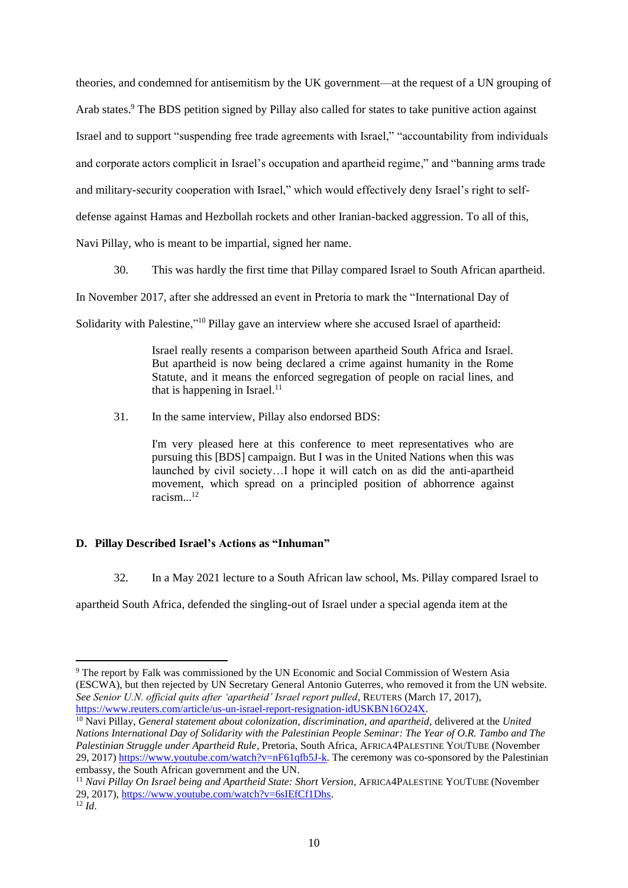theories, and condemned for antisemitism by the UK government—at the request of a UN grouping of Arab states.<sup>9</sup> The BDS petition signed by Pillay also called for states to take punitive action against Israel and to support "suspending free trade agreements with Israel," "accountability from individuals and corporate actors complicit in Israel's occupation and apartheid regime," and "banning arms trade and military-security cooperation with Israel," which would effectively deny Israel's right to selfdefense against Hamas and Hezbollah rockets and other Iranian-backed aggression. To all of this, Navi Pillay, who is meant to be impartial, signed her name.

30. This was hardly the first time that Pillay compared Israel to South African apartheid. In November 2017, after she addressed an event in Pretoria to mark the "International Day of Solidarity with Palestine,"<sup>10</sup> Pillay gave an interview where she accused Israel of apartheid:

> Israel really resents a comparison between apartheid South Africa and Israel. But apartheid is now being declared a crime against humanity in the Rome Statute, and it means the enforced segregation of people on racial lines, and that is happening in Israel. $11$

31. In the same interview, Pillay also endorsed BDS:

I'm very pleased here at this conference to meet representatives who are pursuing this [BDS] campaign. But I was in the United Nations when this was launched by civil society…I hope it will catch on as did the anti-apartheid movement, which spread on a principled position of abhorrence against racism...<sup>12</sup>

# **D. Pillay Described Israel's Actions as "Inhuman"**

32. In a May 2021 lecture to a South African law school, Ms. Pillay compared Israel to

apartheid South Africa, defended the singling-out of Israel under a special agenda item at the

<sup>9</sup> The report by Falk was commissioned by the UN Economic and Social Commission of Western Asia (ESCWA), but then rejected by UN Secretary General Antonio Guterres, who removed it from the UN website. *See Senior U.N. official quits after 'apartheid' Israel report pulled*, REUTERS (March 17, 2017), [https://www.reuters.com/article/us-un-israel-report-resignation-idUSKBN16O24X.](https://www.reuters.com/article/us-un-israel-report-resignation-idUSKBN16O24X)

<sup>10</sup> Navi Pillay, *General statement about colonization, discrimination, and apartheid*, delivered at the *United Nations International Day of Solidarity with the Palestinian People Seminar: The Year of O.R. Tambo and The Palestinian Struggle under Apartheid Rule*, Pretoria, South Africa, AFRICA4PALESTINE YOUTUBE (November 29, 2017) [https://www.youtube.com/watch?v=nF61qfb5J-k.](https://www.youtube.com/watch?v=nF61qfb5J-k) The ceremony was co-sponsored by the Palestinian embassy, the South African government and the UN.

<sup>11</sup> *Navi Pillay On Israel being and Apartheid State: Short Version*, AFRICA4PALESTINE YOUTUBE (November 29, 2017), [https://www.youtube.com/watch?v=6sIEfCf1Dhs.](https://www.youtube.com/watch?v=6sIEfCf1Dhs)  $12 \, \text{Id}$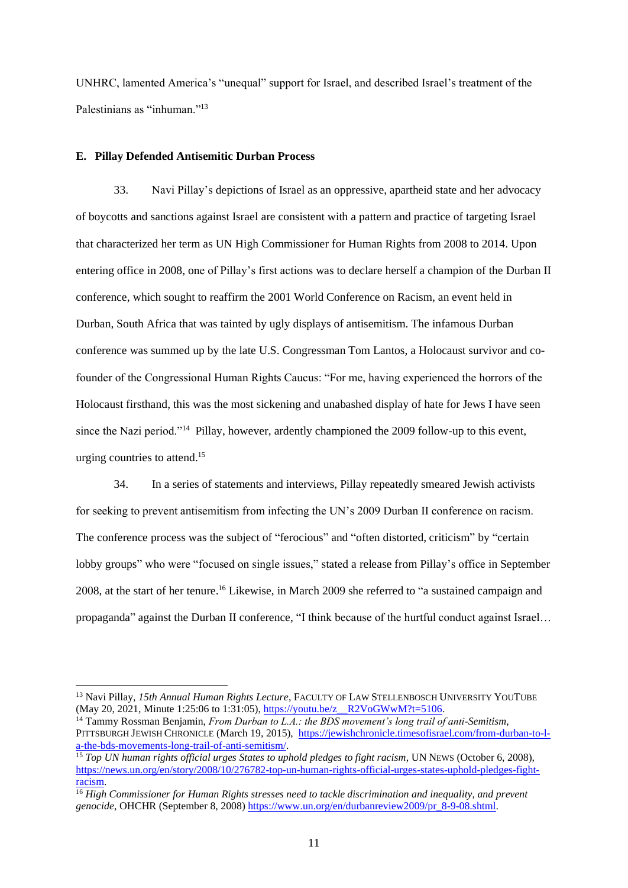UNHRC, lamented America's "unequal" support for Israel, and described Israel's treatment of the Palestinians as "inhuman."<sup>13</sup>

### **E. Pillay Defended Antisemitic Durban Process**

33. Navi Pillay's depictions of Israel as an oppressive, apartheid state and her advocacy of boycotts and sanctions against Israel are consistent with a pattern and practice of targeting Israel that characterized her term as UN High Commissioner for Human Rights from 2008 to 2014. Upon entering office in 2008, one of Pillay's first actions was to declare herself a champion of the Durban II conference, which sought to reaffirm the 2001 World Conference on Racism, an event held in Durban, South Africa that was tainted by ugly displays of antisemitism. The infamous Durban conference was summed up by the late U.S. Congressman Tom Lantos, a Holocaust survivor and cofounder of the Congressional Human Rights Caucus: "For me, having experienced the horrors of the Holocaust firsthand, this was the most sickening and unabashed display of hate for Jews I have seen since the Nazi period."<sup>14</sup> Pillay, however, ardently championed the 2009 follow-up to this event, urging countries to attend. 15

34. In a series of statements and interviews, Pillay repeatedly smeared Jewish activists for seeking to prevent antisemitism from infecting the UN's 2009 Durban II conference on racism. The conference process was the subject of "ferocious" and "often distorted, criticism" by "certain lobby groups" who were "focused on single issues," stated a release from Pillay's office in September 2008, at the start of her tenure. <sup>16</sup> Likewise, in March 2009 she referred to "a sustained campaign and propaganda" against the Durban II conference, "I think because of the hurtful conduct against Israel…

<sup>&</sup>lt;sup>13</sup> Navi Pillay, *15th Annual Human Rights Lecture*, FACULTY OF LAW STELLENBOSCH UNIVERSITY YOUTUBE (May 20, 2021, Minute 1:25:06 to 1:31:05), [https://youtu.be/z\\_\\_R2VoGWwM?t=5106.](https://youtu.be/z__R2VoGWwM?t=5106)

<sup>14</sup> Tammy Rossman Benjamin, *From Durban to L.A.: the BDS movement's long trail of anti-Semitism*, PITTSBURGH JEWISH CHRONICLE (March 19, 2015), [https://jewishchronicle.timesofisrael.com/from-durban-to-l](https://jewishchronicle.timesofisrael.com/from-durban-to-l-a-the-bds-movements-long-trail-of-anti-semitism/)[a-the-bds-movements-long-trail-of-anti-semitism/.](https://jewishchronicle.timesofisrael.com/from-durban-to-l-a-the-bds-movements-long-trail-of-anti-semitism/) 

<sup>15</sup> *Top UN human rights official urges States to uphold pledges to fight racism*, UN NEWS (October 6, 2008), [https://news.un.org/en/story/2008/10/276782-top-un-human-rights-official-urges-states-uphold-pledges-fight](https://news.un.org/en/story/2008/10/276782-top-un-human-rights-official-urges-states-uphold-pledges-fight-racism)[racism.](https://news.un.org/en/story/2008/10/276782-top-un-human-rights-official-urges-states-uphold-pledges-fight-racism)

<sup>16</sup> *High Commissioner for Human Rights stresses need to tackle discrimination and inequality, and prevent genocide*, OHCHR (September 8, 2008) [https://www.un.org/en/durbanreview2009/pr\\_8-9-08.shtml.](https://www.un.org/en/durbanreview2009/pr_8-9-08.shtml)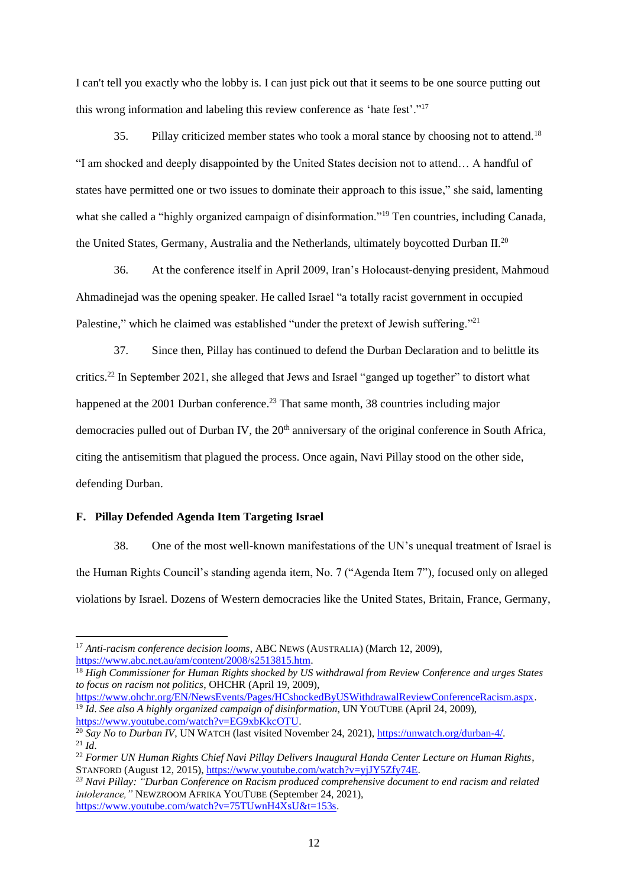I can't tell you exactly who the lobby is. I can just pick out that it seems to be one source putting out this wrong information and labeling this review conference as 'hate fest'."<sup>17</sup>

35. Pillay criticized member states who took a moral stance by choosing not to attend.<sup>18</sup> "I am shocked and deeply disappointed by the United States decision not to attend… A handful of states have permitted one or two issues to dominate their approach to this issue," she said, lamenting what she called a "highly organized campaign of disinformation."<sup>19</sup> Ten countries, including Canada, the United States, Germany, Australia and the Netherlands, ultimately boycotted Durban II.<sup>20</sup>

36. At the conference itself in April 2009, Iran's Holocaust-denying president, Mahmoud Ahmadinejad was the opening speaker. He called Israel "a totally racist government in occupied Palestine," which he claimed was established "under the pretext of Jewish suffering."<sup>21</sup>

37. Since then, Pillay has continued to defend the Durban Declaration and to belittle its critics.<sup>22</sup> In September 2021, she alleged that Jews and Israel "ganged up together" to distort what happened at the 2001 Durban conference.<sup>23</sup> That same month, 38 countries including major democracies pulled out of Durban IV, the 20<sup>th</sup> anniversary of the original conference in South Africa, citing the antisemitism that plagued the process. Once again, Navi Pillay stood on the other side, defending Durban.

#### **F. Pillay Defended Agenda Item Targeting Israel**

38. One of the most well-known manifestations of the UN's unequal treatment of Israel is the Human Rights Council's standing agenda item, No. 7 ("Agenda Item 7"), focused only on alleged violations by Israel. Dozens of Western democracies like the United States, Britain, France, Germany,

<sup>17</sup> *Anti-racism conference decision looms*, ABC NEWS (AUSTRALIA) (March 12, 2009), [https://www.abc.net.au/am/content/2008/s2513815.htm.](https://www.abc.net.au/am/content/2008/s2513815.htm)

<sup>18</sup> *High Commissioner for Human Rights shocked by US withdrawal from Review Conference and urges States to focus on racism not politics*, OHCHR (April 19, 2009),

[https://www.ohchr.org/EN/NewsEvents/Pages/HCshockedByUSWithdrawalReviewConferenceRacism.aspx.](https://www.ohchr.org/EN/NewsEvents/Pages/HCshockedByUSWithdrawalReviewConferenceRacism.aspx) <sup>19</sup> *Id*. *See also A highly organized campaign of disinformation*, UN YOUTUBE (April 24, 2009), [https://www.youtube.com/watch?v=EG9xbKkcOTU.](https://www.youtube.com/watch?v=EG9xbKkcOTU)

<sup>&</sup>lt;sup>20</sup> Say No to Durban IV, UN WATCH (last visited November 24, 2021)[, https://unwatch.org/durban-4/.](https://unwatch.org/durban-4/)  $^{21}$  *Id.* 

<sup>22</sup> *Former UN Human Rights Chief Navi Pillay Delivers Inaugural Handa Center Lecture on Human Rights*, STANFORD (August 12, 2015), [https://www.youtube.com/watch?v=yjJY5Zfy74E.](https://www.youtube.com/watch?v=yjJY5Zfy74E)

*<sup>23</sup> Navi Pillay: "Durban Conference on Racism produced comprehensive document to end racism and related intolerance,"* NEWZROOM AFRIKA YOUTUBE (September 24, 2021), [https://www.youtube.com/watch?v=75TUwnH4XsU&t=153s.](https://www.youtube.com/watch?v=75TUwnH4XsU&t=153s)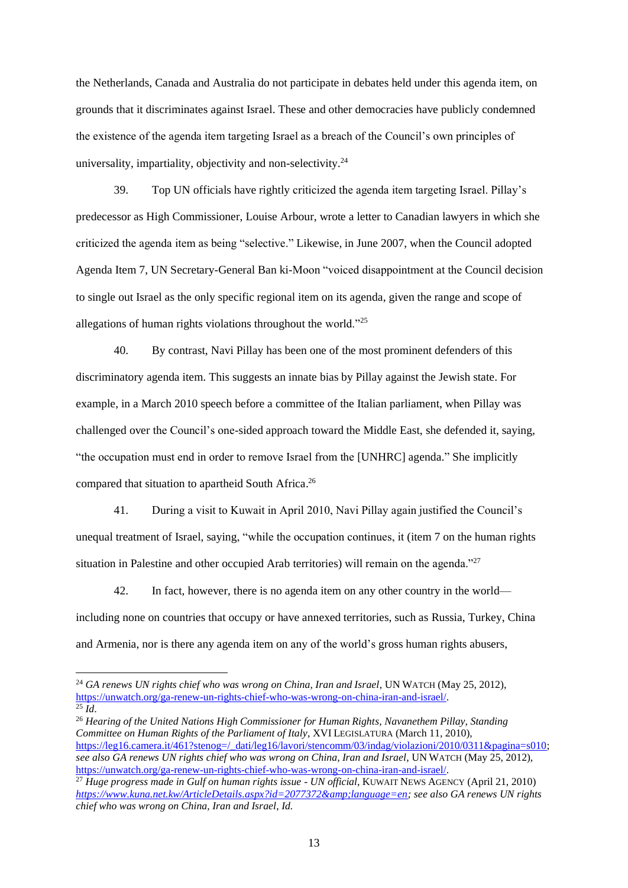the Netherlands, Canada and Australia do not participate in debates held under this agenda item, on grounds that it discriminates against Israel. These and other democracies have publicly condemned the existence of the agenda item targeting Israel as a breach of the Council's own principles of universality, impartiality, objectivity and non-selectivity. $24$ 

39. Top UN officials have rightly criticized the agenda item targeting Israel. Pillay's predecessor as High Commissioner, Louise Arbour, wrote a letter to Canadian lawyers in which she criticized the agenda item as being "selective." Likewise, in June 2007, when the Council adopted Agenda Item 7, UN Secretary-General Ban ki-Moon "voiced disappointment at the Council decision to single out Israel as the only specific regional item on its agenda, given the range and scope of allegations of human rights violations throughout the world."<sup>25</sup>

40. By contrast, Navi Pillay has been one of the most prominent defenders of this discriminatory agenda item. This suggests an innate bias by Pillay against the Jewish state. For example, in a March 2010 speech before a committee of the Italian parliament, when Pillay was challenged over the Council's one-sided approach toward the Middle East, she defended it, saying, "the occupation must end in order to remove Israel from the [UNHRC] agenda." She implicitly compared that situation to apartheid South Africa.<sup>26</sup>

41. During a visit to Kuwait in April 2010, Navi Pillay again justified the Council's unequal treatment of Israel, saying, "while the occupation continues, it (item 7 on the human rights situation in Palestine and other occupied Arab territories) will remain on the agenda."<sup>27</sup>

42. In fact, however, there is no agenda item on any other country in the world including none on countries that occupy or have annexed territories, such as Russia, Turkey, China and Armenia, nor is there any agenda item on any of the world's gross human rights abusers,

<sup>26</sup> *Hearing of the United Nations High Commissioner for Human Rights, Navanethem Pillay, Standing Committee on Human Rights of the Parliament of Italy*, XVI LEGISLATURA (March 11, 2010), [https://leg16.camera.it/461?stenog=/\\_dati/leg16/lavori/stencomm/03/indag/violazioni/2010/0311&pagina=s010;](https://leg16.camera.it/461?stenog=/_dati/leg16/lavori/stencomm/03/indag/violazioni/2010/0311&pagina=s010) *see also GA renews UN rights chief who was wrong on China, Iran and Israel*, UN WATCH (May 25, 2012), [https://unwatch.org/ga-renew-un-rights-chief-who-was-wrong-on-china-iran-and-israel/.](https://unwatch.org/ga-renew-un-rights-chief-who-was-wrong-on-china-iran-and-israel/) 

<sup>&</sup>lt;sup>24</sup> GA renews UN rights chief who was wrong on China, Iran and Israel, UN WATCH (May 25, 2012), [https://unwatch.org/ga-renew-un-rights-chief-who-was-wrong-on-china-iran-and-israel/.](https://unwatch.org/ga-renew-un-rights-chief-who-was-wrong-on-china-iran-and-israel/)  $\overline{^{25}$ *Id.* 

<sup>27</sup> *Huge progress made in Gulf on human rights issue - UN official*, KUWAIT NEWS AGENCY (April 21, 2010) *[https://www.kuna.net.kw/ArticleDetails.aspx?id=2077372&language=en;](https://www.kuna.net.kw/ArticleDetails.aspx?id=2077372&language=en) see also GA renews UN rights chief who was wrong on China, Iran and Israel*, *Id.*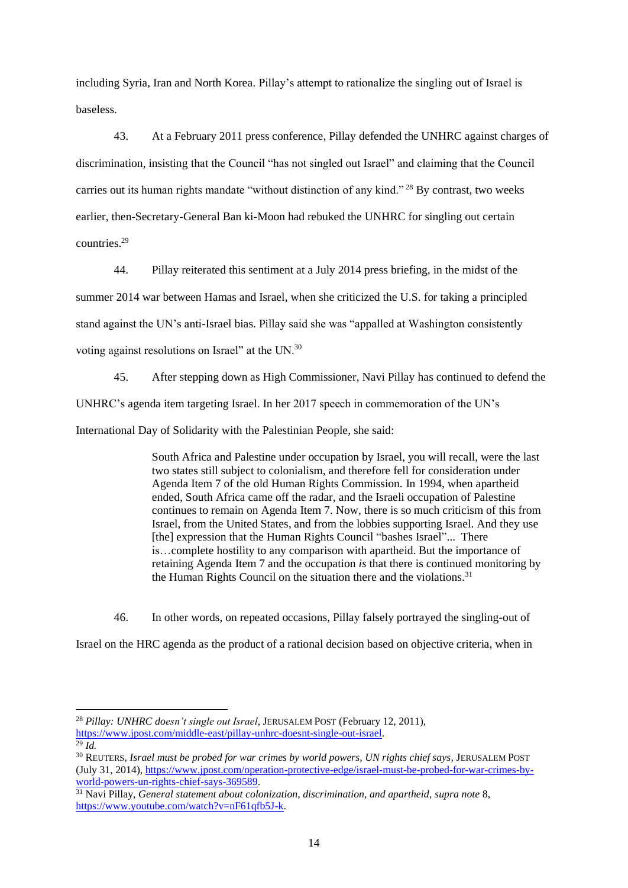including Syria, Iran and North Korea. Pillay's attempt to rationalize the singling out of Israel is baseless.

43. At a February 2011 press conference, Pillay defended the UNHRC against charges of discrimination, insisting that the Council "has not singled out Israel" and claiming that the Council carries out its human rights mandate "without distinction of any kind." <sup>28</sup> By contrast, two weeks earlier, then-Secretary-General Ban ki-Moon had rebuked the UNHRC for singling out certain countries.<sup>29</sup>

44. Pillay reiterated this sentiment at a July 2014 press briefing, in the midst of the summer 2014 war between Hamas and Israel, when she criticized the U.S. for taking a principled stand against the UN's anti-Israel bias. Pillay said she was "appalled at Washington consistently voting against resolutions on Israel" at the UN.<sup>30</sup>

45. After stepping down as High Commissioner, Navi Pillay has continued to defend the UNHRC's agenda item targeting Israel. In her 2017 speech in commemoration of the UN's International Day of Solidarity with the Palestinian People, she said:

> South Africa and Palestine under occupation by Israel, you will recall, were the last two states still subject to colonialism, and therefore fell for consideration under Agenda Item 7 of the old Human Rights Commission. In 1994, when apartheid ended, South Africa came off the radar, and the Israeli occupation of Palestine continues to remain on Agenda Item 7. Now, there is so much criticism of this from Israel, from the United States, and from the lobbies supporting Israel. And they use [the] expression that the Human Rights Council "bashes Israel"... There is…complete hostility to any comparison with apartheid. But the importance of retaining Agenda Item 7 and the occupation *is* that there is continued monitoring by the Human Rights Council on the situation there and the violations.<sup>31</sup>

46. In other words, on repeated occasions, Pillay falsely portrayed the singling-out of Israel on the HRC agenda as the product of a rational decision based on objective criteria, when in

 $\overline{^{29}}$  *Id.* 

<sup>28</sup> *Pillay: UNHRC doesn't single out Israel*, JERUSALEM POST (February 12, 2011), [https://www.jpost.com/middle-east/pillay-unhrc-doesnt-single-out-israel.](https://www.jpost.com/middle-east/pillay-unhrc-doesnt-single-out-israel)

<sup>&</sup>lt;sup>30</sup> REUTERS, Israel must be probed for war crimes by world powers, UN rights chief says, JERUSALEM POST (July 31, 2014), [https://www.jpost.com/operation-protective-edge/israel-must-be-probed-for-war-crimes-by](https://www.jpost.com/operation-protective-edge/israel-must-be-probed-for-war-crimes-by-world-powers-un-rights-chief-says-369589)[world-powers-un-rights-chief-says-369589.](https://www.jpost.com/operation-protective-edge/israel-must-be-probed-for-war-crimes-by-world-powers-un-rights-chief-says-369589)

<sup>31</sup> Navi Pillay, *General statement about colonization, discrimination, and apartheid*, *supra note* 8, [https://www.youtube.com/watch?v=nF61qfb5J-k.](https://www.youtube.com/watch?v=nF61qfb5J-k)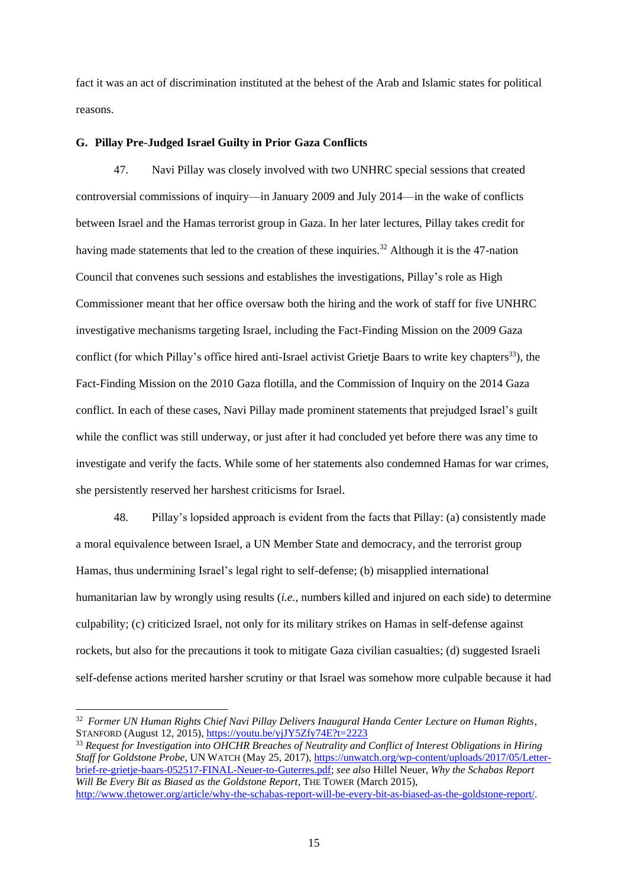fact it was an act of discrimination instituted at the behest of the Arab and Islamic states for political reasons.

### **G. Pillay Pre-Judged Israel Guilty in Prior Gaza Conflicts**

47. Navi Pillay was closely involved with two UNHRC special sessions that created controversial commissions of inquiry—in January 2009 and July 2014—in the wake of conflicts between Israel and the Hamas terrorist group in Gaza. In her later lectures, Pillay takes credit for having made statements that led to the creation of these inquiries.<sup>32</sup> Although it is the 47-nation Council that convenes such sessions and establishes the investigations, Pillay's role as High Commissioner meant that her office oversaw both the hiring and the work of staff for five UNHRC investigative mechanisms targeting Israel, including the Fact-Finding Mission on the 2009 Gaza conflict (for which Pillay's office hired anti-Israel activist Grietje Baars to write key chapters<sup>33</sup>), the Fact-Finding Mission on the 2010 Gaza flotilla, and the Commission of Inquiry on the 2014 Gaza conflict. In each of these cases, Navi Pillay made prominent statements that prejudged Israel's guilt while the conflict was still underway, or just after it had concluded yet before there was any time to investigate and verify the facts. While some of her statements also condemned Hamas for war crimes, she persistently reserved her harshest criticisms for Israel.

48. Pillay's lopsided approach is evident from the facts that Pillay: (a) consistently made a moral equivalence between Israel, a UN Member State and democracy, and the terrorist group Hamas, thus undermining Israel's legal right to self-defense; (b) misapplied international humanitarian law by wrongly using results (*i.e.*, numbers killed and injured on each side) to determine culpability; (c) criticized Israel, not only for its military strikes on Hamas in self-defense against rockets, but also for the precautions it took to mitigate Gaza civilian casualties; (d) suggested Israeli self-defense actions merited harsher scrutiny or that Israel was somehow more culpable because it had

<sup>32</sup> *Former UN Human Rights Chief Navi Pillay Delivers Inaugural Handa Center Lecture on Human Rights*, STANFORD (August 12, 2015),<https://youtu.be/yjJY5Zfy74E?t=2223>

<sup>33</sup> *Request for Investigation into OHCHR Breaches of Neutrality and Conflict of Interest Obligations in Hiring Staff for Goldstone Probe*, UN WATCH (May 25, 2017)[, https://unwatch.org/wp-content/uploads/2017/05/Letter](https://unwatch.org/wp-content/uploads/2017/05/Letter-brief-re-grietje-baars-052517-FINAL-Neuer-to-Guterres.pdf)[brief-re-grietje-baars-052517-FINAL-Neuer-to-Guterres.pdf;](https://unwatch.org/wp-content/uploads/2017/05/Letter-brief-re-grietje-baars-052517-FINAL-Neuer-to-Guterres.pdf) *see also* Hillel Neuer, *Why the Schabas Report Will Be Every Bit as Biased as the Goldstone Report, THE TOWER (March 2015),* [http://www.thetower.org/article/why-the-schabas-report-will-be-every-bit-as-biased-as-the-goldstone-report/.](http://www.thetower.org/article/why-the-schabas-report-will-be-every-bit-as-biased-as-the-goldstone-report/)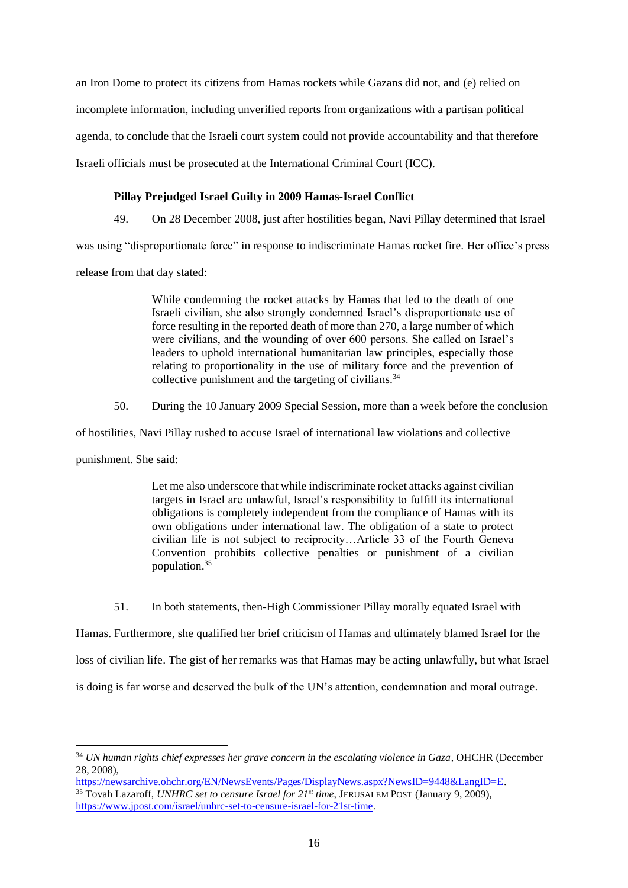an Iron Dome to protect its citizens from Hamas rockets while Gazans did not, and (e) relied on incomplete information, including unverified reports from organizations with a partisan political agenda, to conclude that the Israeli court system could not provide accountability and that therefore Israeli officials must be prosecuted at the International Criminal Court (ICC).

### **Pillay Prejudged Israel Guilty in 2009 Hamas-Israel Conflict**

49. On 28 December 2008, just after hostilities began, Navi Pillay determined that Israel

was using "disproportionate force" in response to indiscriminate Hamas rocket fire. Her office's press

release from that day stated:

While condemning the rocket attacks by Hamas that led to the death of one Israeli civilian, she also strongly condemned Israel's disproportionate use of force resulting in the reported death of more than 270, a large number of which were civilians, and the wounding of over 600 persons. She called on Israel's leaders to uphold international humanitarian law principles, especially those relating to proportionality in the use of military force and the prevention of collective punishment and the targeting of civilians.<sup>34</sup>

50. During the 10 January 2009 Special Session, more than a week before the conclusion

of hostilities, Navi Pillay rushed to accuse Israel of international law violations and collective

punishment. She said:

Let me also underscore that while indiscriminate rocket attacks against civilian targets in Israel are unlawful, Israel's responsibility to fulfill its international obligations is completely independent from the compliance of Hamas with its own obligations under international law. The obligation of a state to protect civilian life is not subject to reciprocity…Article 33 of the Fourth Geneva Convention prohibits collective penalties or punishment of a civilian population.<sup>35</sup>

51. In both statements, then-High Commissioner Pillay morally equated Israel with

Hamas. Furthermore, she qualified her brief criticism of Hamas and ultimately blamed Israel for the loss of civilian life. The gist of her remarks was that Hamas may be acting unlawfully, but what Israel is doing is far worse and deserved the bulk of the UN's attention, condemnation and moral outrage.

<sup>34</sup> *UN human rights chief expresses her grave concern in the escalating violence in Gaza*, OHCHR (December 28, 2008),

[https://newsarchive.ohchr.org/EN/NewsEvents/Pages/DisplayNews.aspx?NewsID=9448&LangID=E.](https://newsarchive.ohchr.org/EN/NewsEvents/Pages/DisplayNews.aspx?NewsID=9448&LangID=E) <sup>35</sup> Tovah Lazaroff, *UNHRC set to censure Israel for 21st time*, JERUSALEM POST (January 9, 2009), [https://www.jpost.com/israel/unhrc-set-to-censure-israel-for-21st-time.](https://www.jpost.com/israel/unhrc-set-to-censure-israel-for-21st-time)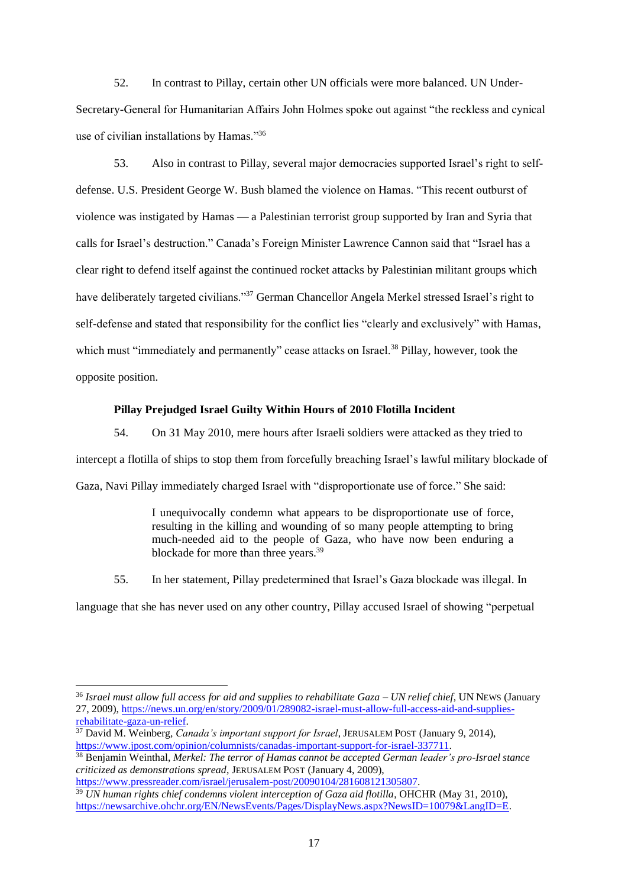52. In contrast to Pillay, certain other UN officials were more balanced. UN Under-Secretary-General for Humanitarian Affairs John Holmes spoke out against "the reckless and cynical use of civilian installations by Hamas."<sup>36</sup>

53. Also in contrast to Pillay, several major democracies supported Israel's right to selfdefense. U.S. President George W. Bush blamed the violence on Hamas. "This recent outburst of violence was instigated by Hamas — a Palestinian terrorist group supported by Iran and Syria that calls for Israel's destruction." Canada's Foreign Minister Lawrence Cannon said that "Israel has a clear right to defend itself against the continued rocket attacks by Palestinian militant groups which have deliberately targeted civilians."<sup>37</sup> German Chancellor Angela Merkel stressed Israel's right to self-defense and stated that responsibility for the conflict lies "clearly and exclusively" with Hamas, which must "immediately and permanently" cease attacks on Israel.<sup>38</sup> Pillay, however, took the opposite position.

### **Pillay Prejudged Israel Guilty Within Hours of 2010 Flotilla Incident**

54. On 31 May 2010, mere hours after Israeli soldiers were attacked as they tried to intercept a flotilla of ships to stop them from forcefully breaching Israel's lawful military blockade of Gaza, Navi Pillay immediately charged Israel with "disproportionate use of force." She said:

> I unequivocally condemn what appears to be disproportionate use of force, resulting in the killing and wounding of so many people attempting to bring much-needed aid to the people of Gaza, who have now been enduring a blockade for more than three years.<sup>39</sup>

55. In her statement, Pillay predetermined that Israel's Gaza blockade was illegal. In

language that she has never used on any other country, Pillay accused Israel of showing "perpetual

<sup>38</sup> Benjamin Weinthal, *Merkel: The terror of Hamas cannot be accepted German leader's pro-Israel stance criticized as demonstrations spread*, JERUSALEM POST (January 4, 2009),

[https://www.pressreader.com/israel/jerusalem-post/20090104/281608121305807.](https://www.pressreader.com/israel/jerusalem-post/20090104/281608121305807) <sup>39</sup> *UN human rights chief condemns violent interception of Gaza aid flotilla*, OHCHR (May 31, 2010), [https://newsarchive.ohchr.org/EN/NewsEvents/Pages/DisplayNews.aspx?NewsID=10079&LangID=E.](https://newsarchive.ohchr.org/EN/NewsEvents/Pages/DisplayNews.aspx?NewsID=10079&LangID=E)

<sup>36</sup> *Israel must allow full access for aid and supplies to rehabilitate Gaza – UN relief chief*, UN NEWS (January 27, 2009), [https://news.un.org/en/story/2009/01/289082-israel-must-allow-full-access-aid-and-supplies](https://news.un.org/en/story/2009/01/289082-israel-must-allow-full-access-aid-and-supplies-rehabilitate-gaza-un-relief)[rehabilitate-gaza-un-relief.](https://news.un.org/en/story/2009/01/289082-israel-must-allow-full-access-aid-and-supplies-rehabilitate-gaza-un-relief)

<sup>37</sup> David M. Weinberg, *Canada's important support for Israel*, JERUSALEM POST (January 9, 2014), [https://www.jpost.com/opinion/columnists/canadas-important-support-for-israel-337711.](https://www.jpost.com/opinion/columnists/canadas-important-support-for-israel-337711)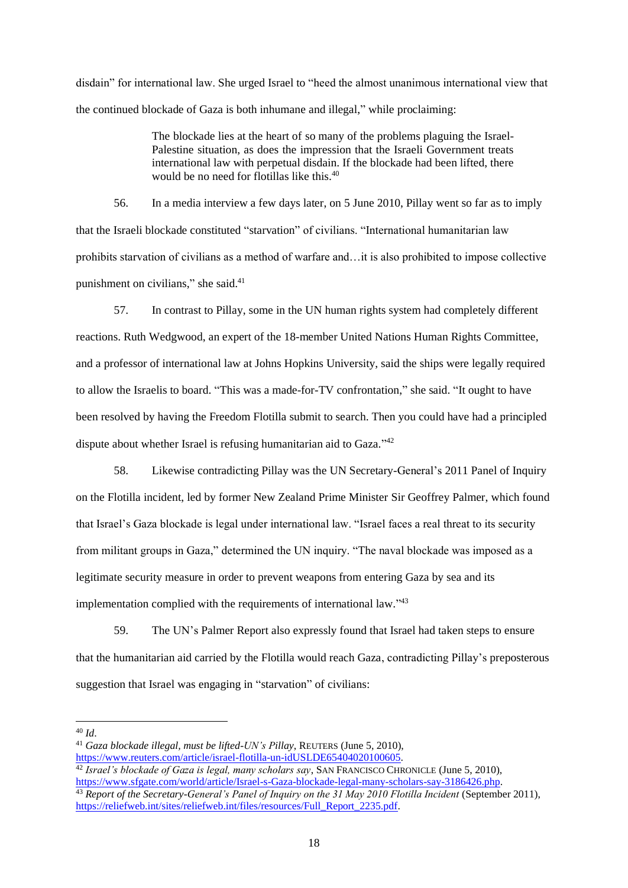disdain" for international law. She urged Israel to "heed the almost unanimous international view that the continued blockade of Gaza is both inhumane and illegal," while proclaiming:

> The blockade lies at the heart of so many of the problems plaguing the Israel-Palestine situation, as does the impression that the Israeli Government treats international law with perpetual disdain. If the blockade had been lifted, there would be no need for flotillas like this.<sup>40</sup>

56. In a media interview a few days later, on 5 June 2010, Pillay went so far as to imply that the Israeli blockade constituted "starvation" of civilians. "International humanitarian law prohibits starvation of civilians as a method of warfare and…it is also prohibited to impose collective punishment on civilians," she said.<sup>41</sup>

57. In contrast to Pillay, some in the UN human rights system had completely different reactions. Ruth Wedgwood, an expert of the 18-member United Nations Human Rights Committee, and a professor of international law at Johns Hopkins University, said the ships were legally required to allow the Israelis to board. "This was a made-for-TV confrontation," she said. "It ought to have been resolved by having the Freedom Flotilla submit to search. Then you could have had a principled dispute about whether Israel is refusing humanitarian aid to Gaza."<sup>42</sup>

58. Likewise contradicting Pillay was the UN Secretary-General's 2011 Panel of Inquiry on the Flotilla incident, led by former New Zealand Prime Minister Sir Geoffrey Palmer, which found that Israel's Gaza blockade is legal under international law. "Israel faces a real threat to its security from militant groups in Gaza," determined the UN inquiry. "The naval blockade was imposed as a legitimate security measure in order to prevent weapons from entering Gaza by sea and its implementation complied with the requirements of international law."43

59. The UN's Palmer Report also expressly found that Israel had taken steps to ensure that the humanitarian aid carried by the Flotilla would reach Gaza, contradicting Pillay's preposterous suggestion that Israel was engaging in "starvation" of civilians:

<sup>40</sup> *Id*.

<sup>41</sup> *Gaza blockade illegal, must be lifted-UN's Pillay*, REUTERS (June 5, 2010),

[https://www.reuters.com/article/israel-flotilla-un-idUSLDE65404020100605.](https://www.reuters.com/article/israel-flotilla-un-idUSLDE65404020100605)

<sup>42</sup> *Israel's blockade of Gaza is legal, many scholars say*, SAN FRANCISCO CHRONICLE (June 5, 2010), [https://www.sfgate.com/world/article/Israel-s-Gaza-blockade-legal-many-scholars-say-3186426.php.](https://www.sfgate.com/world/article/Israel-s-Gaza-blockade-legal-many-scholars-say-3186426.php)

<sup>43</sup> *Report of the Secretary-General's Panel of Inquiry on the 31 May 2010 Flotilla Incident* (September 2011), [https://reliefweb.int/sites/reliefweb.int/files/resources/Full\\_Report\\_2235.pdf.](https://reliefweb.int/sites/reliefweb.int/files/resources/Full_Report_2235.pdf)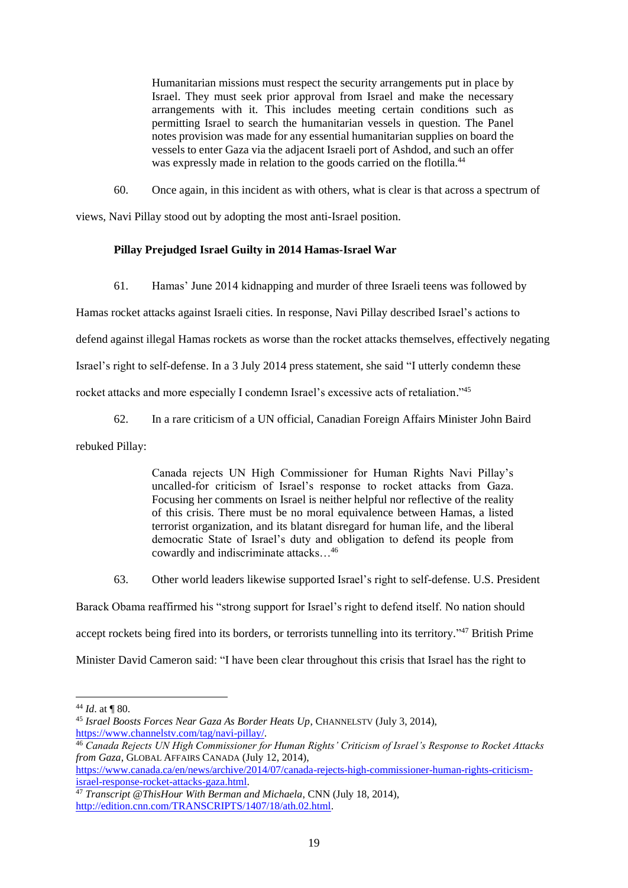Humanitarian missions must respect the security arrangements put in place by Israel. They must seek prior approval from Israel and make the necessary arrangements with it. This includes meeting certain conditions such as permitting Israel to search the humanitarian vessels in question. The Panel notes provision was made for any essential humanitarian supplies on board the vessels to enter Gaza via the adjacent Israeli port of Ashdod, and such an offer was expressly made in relation to the goods carried on the flotilla.<sup>44</sup>

60. Once again, in this incident as with others, what is clear is that across a spectrum of

views, Navi Pillay stood out by adopting the most anti-Israel position.

# **Pillay Prejudged Israel Guilty in 2014 Hamas-Israel War**

61. Hamas' June 2014 kidnapping and murder of three Israeli teens was followed by

Hamas rocket attacks against Israeli cities. In response, Navi Pillay described Israel's actions to

defend against illegal Hamas rockets as worse than the rocket attacks themselves, effectively negating

Israel's right to self-defense. In a 3 July 2014 press statement, she said "I utterly condemn these

rocket attacks and more especially I condemn Israel's excessive acts of retaliation."<sup>45</sup>

62. In a rare criticism of a UN official, Canadian Foreign Affairs Minister John Baird

rebuked Pillay:

Canada rejects UN High Commissioner for Human Rights Navi Pillay's uncalled-for criticism of Israel's response to rocket attacks from Gaza. Focusing her comments on Israel is neither helpful nor reflective of the reality of this crisis. There must be no moral equivalence between Hamas, a listed terrorist organization, and its blatant disregard for human life, and the liberal democratic State of Israel's duty and obligation to defend its people from cowardly and indiscriminate attacks…<sup>46</sup>

63. Other world leaders likewise supported Israel's right to self-defense. U.S. President

Barack Obama reaffirmed his "strong support for Israel's right to defend itself. No nation should accept rockets being fired into its borders, or terrorists tunnelling into its territory."<sup>47</sup> British Prime

Minister David Cameron said: "I have been clear throughout this crisis that Israel has the right to

 $44$  *Id.* at **[80.**]

<sup>45</sup> *Israel Boosts Forces Near Gaza As Border Heats Up*, CHANNELSTV (July 3, 2014), [https://www.channelstv.com/tag/navi-pillay/.](https://www.channelstv.com/tag/navi-pillay/)

<sup>46</sup> *Canada Rejects UN High Commissioner for Human Rights' Criticism of Israel's Response to Rocket Attacks from Gaza*, GLOBAL AFFAIRS CANADA (July 12, 2014),

[https://www.canada.ca/en/news/archive/2014/07/canada-rejects-high-commissioner-human-rights-criticism](https://www.canada.ca/en/news/archive/2014/07/canada-rejects-high-commissioner-human-rights-criticism-israel-response-rocket-attacks-gaza.html)[israel-response-rocket-attacks-gaza.html.](https://www.canada.ca/en/news/archive/2014/07/canada-rejects-high-commissioner-human-rights-criticism-israel-response-rocket-attacks-gaza.html)

<sup>47</sup> *Transcript @ThisHour With Berman and Michaela*, CNN (July 18, 2014), [http://edition.cnn.com/TRANSCRIPTS/1407/18/ath.02.html.](http://edition.cnn.com/TRANSCRIPTS/1407/18/ath.02.html)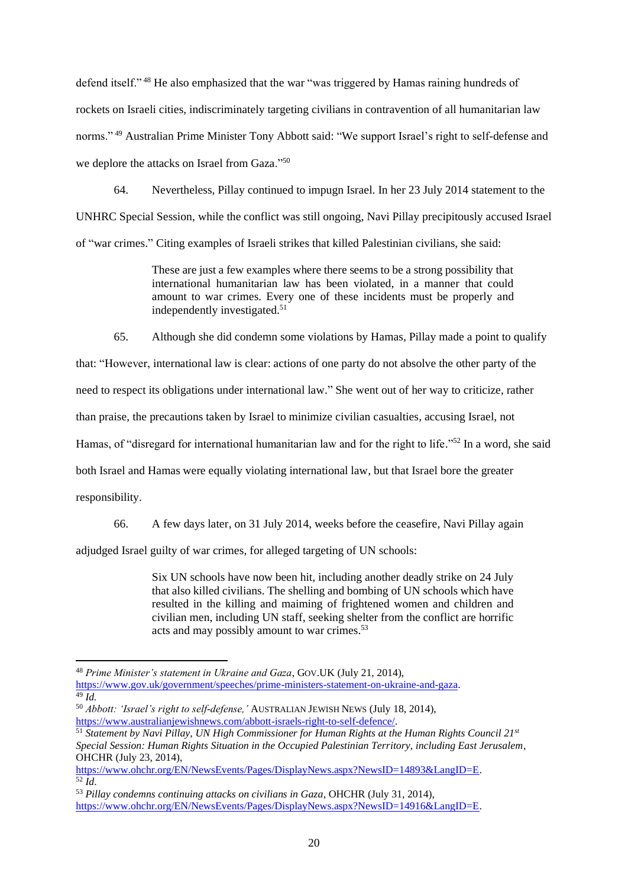defend itself." <sup>48</sup> He also emphasized that the war "was triggered by Hamas raining hundreds of rockets on Israeli cities, indiscriminately targeting civilians in contravention of all humanitarian law norms." <sup>49</sup> Australian Prime Minister Tony Abbott said: "We support Israel's right to self-defense and we deplore the attacks on Israel from Gaza."<sup>50</sup>

64. Nevertheless, Pillay continued to impugn Israel. In her 23 July 2014 statement to the UNHRC Special Session, while the conflict was still ongoing, Navi Pillay precipitously accused Israel of "war crimes." Citing examples of Israeli strikes that killed Palestinian civilians, she said:

> These are just a few examples where there seems to be a strong possibility that international humanitarian law has been violated, in a manner that could amount to war crimes. Every one of these incidents must be properly and independently investigated.<sup>51</sup>

65. Although she did condemn some violations by Hamas, Pillay made a point to qualify

that: "However, international law is clear: actions of one party do not absolve the other party of the

need to respect its obligations under international law." She went out of her way to criticize, rather

than praise, the precautions taken by Israel to minimize civilian casualties, accusing Israel, not

Hamas, of "disregard for international humanitarian law and for the right to life."<sup>52</sup> In a word, she said

both Israel and Hamas were equally violating international law, but that Israel bore the greater

responsibility.

66. A few days later, on 31 July 2014, weeks before the ceasefire, Navi Pillay again

adjudged Israel guilty of war crimes, for alleged targeting of UN schools:

Six UN schools have now been hit, including another deadly strike on 24 July that also killed civilians. The shelling and bombing of UN schools which have resulted in the killing and maiming of frightened women and children and civilian men, including UN staff, seeking shelter from the conflict are horrific acts and may possibly amount to war crimes.<sup>53</sup>

<sup>48</sup> *Prime Minister's statement in Ukraine and Gaza*, GOV.UK (July 21, 2014),

[https://www.gov.uk/government/speeches/prime-ministers-statement-on-ukraine-and-gaza.](https://www.gov.uk/government/speeches/prime-ministers-statement-on-ukraine-and-gaza)  $\overline{49}$   $\overline{l}d$ .

<sup>50</sup> *Abbott: 'Israel's right to self-defense,'* AUSTRALIAN JEWISH NEWS (July 18, 2014), [https://www.australianjewishnews.com/abbott-israels-right-to-self-defence/.](https://www.australianjewishnews.com/abbott-israels-right-to-self-defence/)

<sup>51</sup> *Statement by Navi Pillay, UN High Commissioner for Human Rights at the Human Rights Council 21st Special Session: Human Rights Situation in the Occupied Palestinian Territory, including East Jerusalem*, OHCHR (July 23, 2014),

[https://www.ohchr.org/EN/NewsEvents/Pages/DisplayNews.aspx?NewsID=14893&LangID=E.](https://www.ohchr.org/EN/NewsEvents/Pages/DisplayNews.aspx?NewsID=14893&LangID=E)  $\overline{52}$  *Id.* 

<sup>53</sup> *Pillay condemns continuing attacks on civilians in Gaza*, OHCHR (July 31, 2014), [https://www.ohchr.org/EN/NewsEvents/Pages/DisplayNews.aspx?NewsID=14916&LangID=E.](https://www.ohchr.org/EN/NewsEvents/Pages/DisplayNews.aspx?NewsID=14916&LangID=E)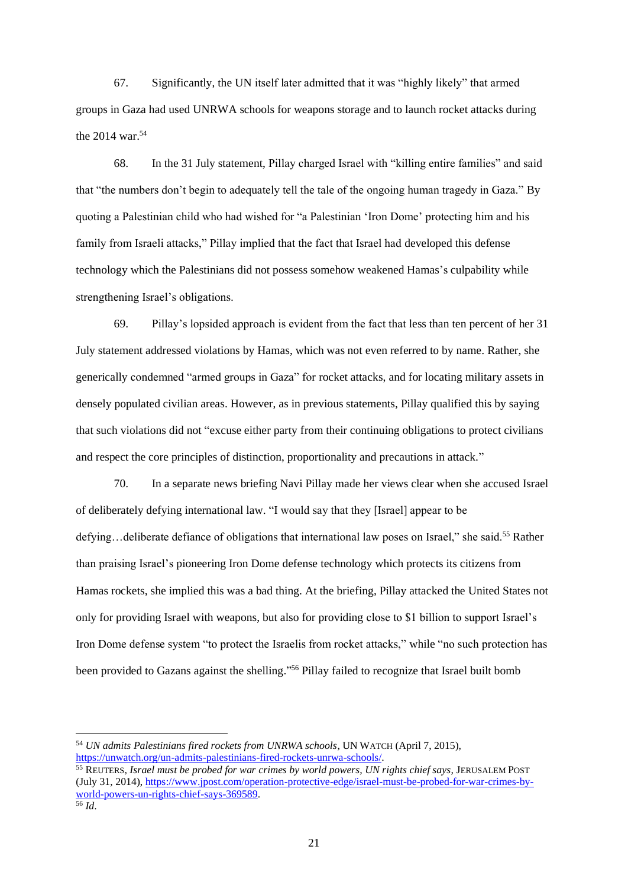67. Significantly, the UN itself later admitted that it was "highly likely" that armed groups in Gaza had used UNRWA schools for weapons storage and to launch rocket attacks during the 2014 war.<sup>54</sup>

68. In the 31 July statement, Pillay charged Israel with "killing entire families" and said that "the numbers don't begin to adequately tell the tale of the ongoing human tragedy in Gaza." By quoting a Palestinian child who had wished for "a Palestinian 'Iron Dome' protecting him and his family from Israeli attacks," Pillay implied that the fact that Israel had developed this defense technology which the Palestinians did not possess somehow weakened Hamas's culpability while strengthening Israel's obligations.

69. Pillay's lopsided approach is evident from the fact that less than ten percent of her 31 July statement addressed violations by Hamas, which was not even referred to by name. Rather, she generically condemned "armed groups in Gaza" for rocket attacks, and for locating military assets in densely populated civilian areas. However, as in previous statements, Pillay qualified this by saying that such violations did not "excuse either party from their continuing obligations to protect civilians and respect the core principles of distinction, proportionality and precautions in attack."

70. In a separate news briefing Navi Pillay made her views clear when she accused Israel of deliberately defying international law. "I would say that they [Israel] appear to be defying...deliberate defiance of obligations that international law poses on Israel," she said.<sup>55</sup> Rather than praising Israel's pioneering Iron Dome defense technology which protects its citizens from Hamas rockets, she implied this was a bad thing. At the briefing, Pillay attacked the United States not only for providing Israel with weapons, but also for providing close to \$1 billion to support Israel's Iron Dome defense system "to protect the Israelis from rocket attacks," while "no such protection has been provided to Gazans against the shelling."<sup>56</sup> Pillay failed to recognize that Israel built bomb

<sup>54</sup> *UN admits Palestinians fired rockets from UNRWA schools*, UN WATCH (April 7, 2015), [https://unwatch.org/un-admits-palestinians-fired-rockets-unrwa-schools/.](https://unwatch.org/un-admits-palestinians-fired-rockets-unrwa-schools/)

<sup>55</sup> REUTERS*, Israel must be probed for war crimes by world powers, UN rights chief says,* JERUSALEM POST (July 31, 2014), [https://www.jpost.com/operation-protective-edge/israel-must-be-probed-for-war-crimes-by](https://www.jpost.com/operation-protective-edge/israel-must-be-probed-for-war-crimes-by-world-powers-un-rights-chief-says-369589)[world-powers-un-rights-chief-says-369589.](https://www.jpost.com/operation-protective-edge/israel-must-be-probed-for-war-crimes-by-world-powers-un-rights-chief-says-369589) <sup>56</sup> *Id*.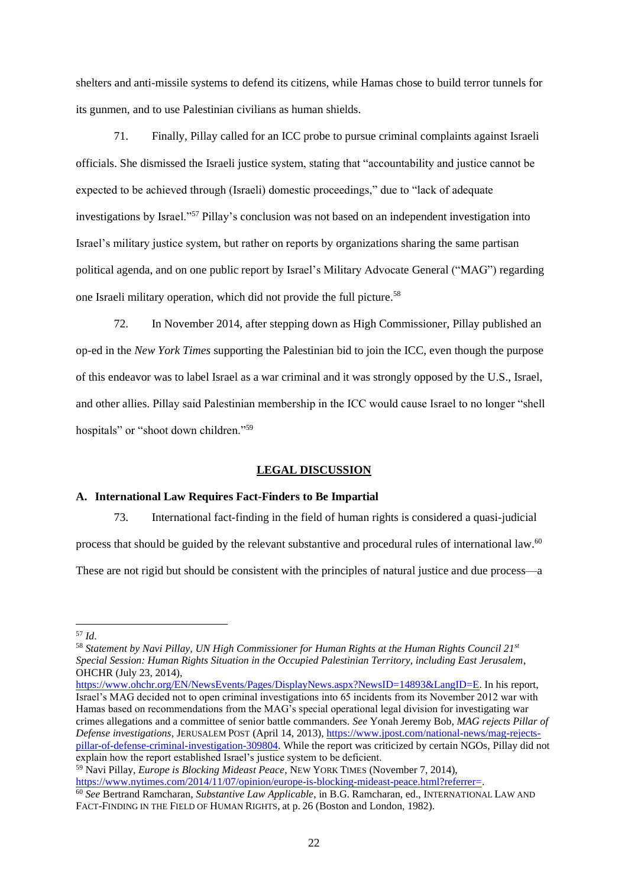shelters and anti-missile systems to defend its citizens, while Hamas chose to build terror tunnels for its gunmen, and to use Palestinian civilians as human shields.

71. Finally, Pillay called for an ICC probe to pursue criminal complaints against Israeli officials. She dismissed the Israeli justice system, stating that "accountability and justice cannot be expected to be achieved through (Israeli) domestic proceedings," due to "lack of adequate investigations by Israel."<sup>57</sup> Pillay's conclusion was not based on an independent investigation into Israel's military justice system, but rather on reports by organizations sharing the same partisan political agenda, and on one public report by Israel's Military Advocate General ("MAG") regarding one Israeli military operation, which did not provide the full picture. 58

72. In November 2014, after stepping down as High Commissioner, Pillay published an op-ed in the *New York Times* supporting the Palestinian bid to join the ICC, even though the purpose of this endeavor was to label Israel as a war criminal and it was strongly opposed by the U.S., Israel, and other allies. Pillay said Palestinian membership in the ICC would cause Israel to no longer "shell hospitals" or "shoot down children."<sup>59</sup>

#### **LEGAL DISCUSSION**

### **A. International Law Requires Fact-Finders to Be Impartial**

73. International fact-finding in the field of human rights is considered a quasi-judicial

process that should be guided by the relevant substantive and procedural rules of international law.<sup>60</sup>

These are not rigid but should be consistent with the principles of natural justice and due process—a

<sup>57</sup> *Id*.

<sup>58</sup> *Statement by Navi Pillay, UN High Commissioner for Human Rights at the Human Rights Council 21st Special Session: Human Rights Situation in the Occupied Palestinian Territory, including East Jerusalem*, OHCHR (July 23, 2014),

[https://www.ohchr.org/EN/NewsEvents/Pages/DisplayNews.aspx?NewsID=14893&LangID=E.](https://www.ohchr.org/EN/NewsEvents/Pages/DisplayNews.aspx?NewsID=14893&LangID=E) In his report, Israel's MAG decided not to open criminal investigations into 65 incidents from its November 2012 war with Hamas based on recommendations from the MAG's special operational legal division for investigating war crimes allegations and a committee of senior battle commanders. *See* Yonah Jeremy Bob, *MAG rejects Pillar of Defense investigations*, JERUSALEM POST (April 14, 2013)[, https://www.jpost.com/national-news/mag-rejects](https://www.jpost.com/national-news/mag-rejects-pillar-of-defense-criminal-investigation-309804)[pillar-of-defense-criminal-investigation-309804.](https://www.jpost.com/national-news/mag-rejects-pillar-of-defense-criminal-investigation-309804) While the report was criticized by certain NGOs, Pillay did not explain how the report established Israel's justice system to be deficient.

<sup>59</sup> Navi Pillay, *Europe is Blocking Mideast Peace*, NEW YORK TIMES (November 7, 2014), [https://www.nytimes.com/2014/11/07/opinion/europe-is-blocking-mideast-peace.html?referrer=.](https://www.nytimes.com/2014/11/07/opinion/europe-is-blocking-mideast-peace.html?referrer=)

<sup>60</sup> *See* Bertrand Ramcharan, *Substantive Law Applicable*, in B.G. Ramcharan, ed., INTERNATIONAL LAW AND FACT-FINDING IN THE FIELD OF HUMAN RIGHTS, at p. 26 (Boston and London, 1982).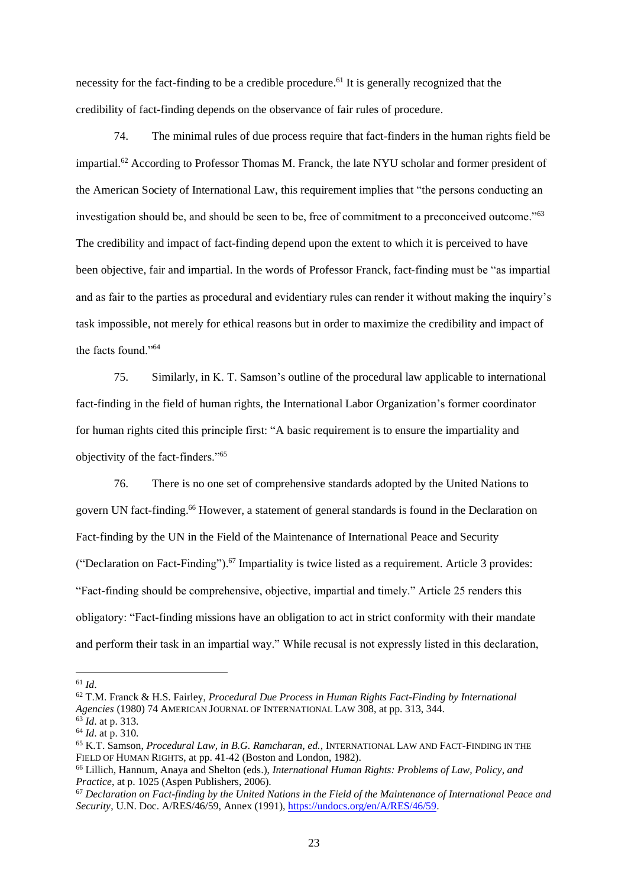necessity for the fact-finding to be a credible procedure.<sup>61</sup> It is generally recognized that the credibility of fact-finding depends on the observance of fair rules of procedure.

74. The minimal rules of due process require that fact-finders in the human rights field be impartial.<sup>62</sup> According to Professor Thomas M. Franck, the late NYU scholar and former president of the American Society of International Law, this requirement implies that "the persons conducting an investigation should be, and should be seen to be, free of commitment to a preconceived outcome."<sup>63</sup> The credibility and impact of fact-finding depend upon the extent to which it is perceived to have been objective, fair and impartial. In the words of Professor Franck, fact-finding must be "as impartial and as fair to the parties as procedural and evidentiary rules can render it without making the inquiry's task impossible, not merely for ethical reasons but in order to maximize the credibility and impact of the facts found."<sup>64</sup>

75. Similarly, in K. T. Samson's outline of the procedural law applicable to international fact-finding in the field of human rights, the International Labor Organization's former coordinator for human rights cited this principle first: "A basic requirement is to ensure the impartiality and objectivity of the fact-finders."<sup>65</sup>

76. There is no one set of comprehensive standards adopted by the United Nations to govern UN fact-finding.<sup>66</sup> However, a statement of general standards is found in the Declaration on Fact-finding by the UN in the Field of the Maintenance of International Peace and Security ("Declaration on Fact-Finding"). <sup>67</sup> Impartiality is twice listed as a requirement. Article 3 provides: "Fact-finding should be comprehensive, objective, impartial and timely." Article 25 renders this obligatory: "Fact-finding missions have an obligation to act in strict conformity with their mandate and perform their task in an impartial way." While recusal is not expressly listed in this declaration,

 $61$  *Id.* 

<sup>62</sup> T.M. Franck & H.S. Fairley, *Procedural Due Process in Human Rights Fact-Finding by International Agencies* (1980) 74 AMERICAN JOURNAL OF INTERNATIONAL LAW 308, at pp. 313, 344.

<sup>63</sup> *Id*. at p. 313.

<sup>64</sup> *Id*. at p. 310.

<sup>65</sup> K.T. Samson, *Procedural Law, in B.G. Ramcharan, ed.*, INTERNATIONAL LAW AND FACT-FINDING IN THE FIELD OF HUMAN RIGHTS, at pp. 41-42 (Boston and London, 1982).

<sup>66</sup> Lillich, Hannum, Anaya and Shelton (eds.), *International Human Rights: Problems of Law, Policy, and Practice*, at p. 1025 (Aspen Publishers, 2006).

<sup>67</sup> *Declaration on Fact-finding by the United Nations in the Field of the Maintenance of International Peace and Security*, U.N. Doc. A/RES/46/59, Annex (1991), [https://undocs.org/en/A/RES/46/59.](https://undocs.org/en/A/RES/46/59)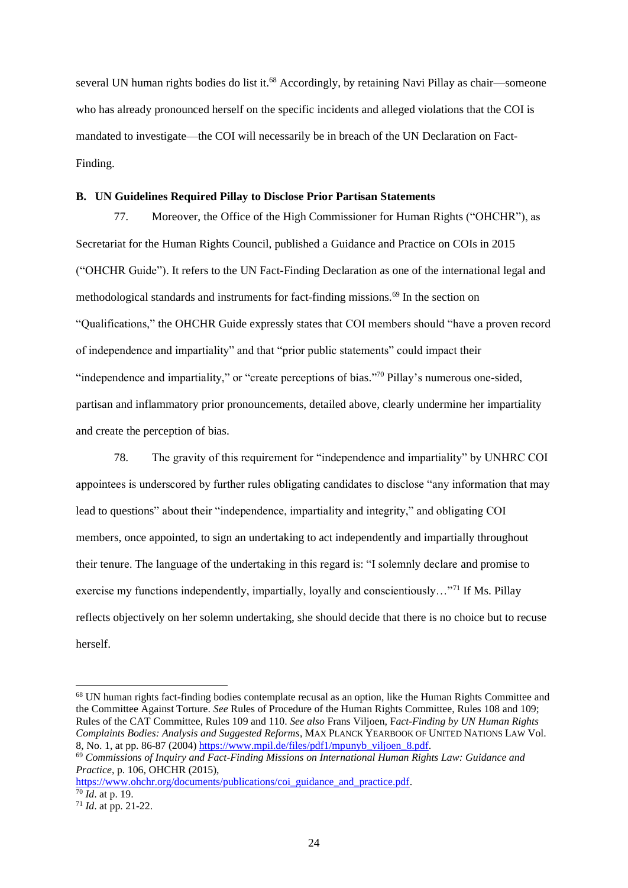several UN human rights bodies do list it.<sup>68</sup> Accordingly, by retaining Navi Pillay as chair—someone who has already pronounced herself on the specific incidents and alleged violations that the COI is mandated to investigate—the COI will necessarily be in breach of the UN Declaration on Fact-Finding.

#### **B. UN Guidelines Required Pillay to Disclose Prior Partisan Statements**

77. Moreover, the Office of the High Commissioner for Human Rights ("OHCHR"), as Secretariat for the Human Rights Council, published a Guidance and Practice on COIs in 2015 ("OHCHR Guide"). It refers to the UN Fact-Finding Declaration as one of the international legal and methodological standards and instruments for fact-finding missions.<sup>69</sup> In the section on "Qualifications," the OHCHR Guide expressly states that COI members should "have a proven record of independence and impartiality" and that "prior public statements" could impact their "independence and impartiality," or "create perceptions of bias."<sup>70</sup> Pillay's numerous one-sided, partisan and inflammatory prior pronouncements, detailed above, clearly undermine her impartiality and create the perception of bias.

78. The gravity of this requirement for "independence and impartiality" by UNHRC COI appointees is underscored by further rules obligating candidates to disclose "any information that may lead to questions" about their "independence, impartiality and integrity," and obligating COI members, once appointed, to sign an undertaking to act independently and impartially throughout their tenure. The language of the undertaking in this regard is: "I solemnly declare and promise to exercise my functions independently, impartially, loyally and conscientiously…"<sup>71</sup> If Ms. Pillay reflects objectively on her solemn undertaking, she should decide that there is no choice but to recuse herself.

[https://www.ohchr.org/documents/publications/coi\\_guidance\\_and\\_practice.pdf.](https://www.ohchr.org/documents/publications/coi_guidance_and_practice.pdf)  <sup>70</sup> *Id*. at p. 19.

<sup>68</sup> UN human rights fact-finding bodies contemplate recusal as an option, like the Human Rights Committee and the Committee Against Torture. *See* Rules of Procedure of the Human Rights Committee, Rules 108 and 109; Rules of the CAT Committee, Rules 109 and 110. *See also* Frans Viljoen, F*act-Finding by UN Human Rights Complaints Bodies: Analysis and Suggested Reforms*, MAX PLANCK YEARBOOK OF UNITED NATIONS LAW Vol. 8, No. 1, at pp. 86-87 (2004) [https://www.mpil.de/files/pdf1/mpunyb\\_viljoen\\_8.pdf.](https://www.mpil.de/files/pdf1/mpunyb_viljoen_8.pdf)

<sup>69</sup> *Commissions of Inquiry and Fact-Finding Missions on International Human Rights Law: Guidance and Practice*, p. 106, OHCHR (2015),

<sup>71</sup> *Id*. at pp. 21-22.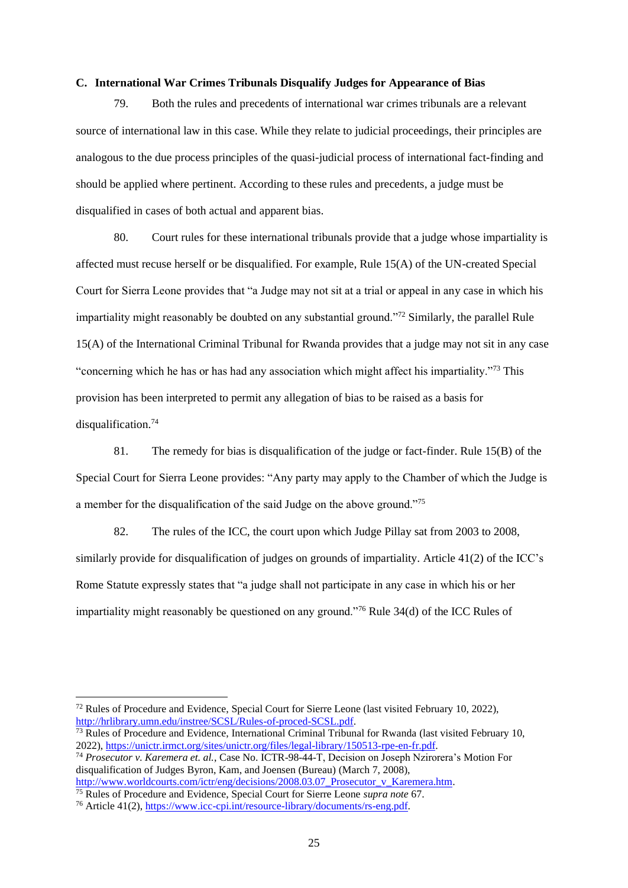#### **C. International War Crimes Tribunals Disqualify Judges for Appearance of Bias**

79. Both the rules and precedents of international war crimes tribunals are a relevant source of international law in this case. While they relate to judicial proceedings, their principles are analogous to the due process principles of the quasi-judicial process of international fact-finding and should be applied where pertinent. According to these rules and precedents, a judge must be disqualified in cases of both actual and apparent bias.

80. Court rules for these international tribunals provide that a judge whose impartiality is affected must recuse herself or be disqualified. For example, Rule 15(A) of the UN-created Special Court for Sierra Leone provides that "a Judge may not sit at a trial or appeal in any case in which his impartiality might reasonably be doubted on any substantial ground."<sup>72</sup> Similarly, the parallel Rule 15(A) of the International Criminal Tribunal for Rwanda provides that a judge may not sit in any case "concerning which he has or has had any association which might affect his impartiality."<sup>73</sup> This provision has been interpreted to permit any allegation of bias to be raised as a basis for disqualification.<sup>74</sup>

81. The remedy for bias is disqualification of the judge or fact-finder. Rule 15(B) of the Special Court for Sierra Leone provides: "Any party may apply to the Chamber of which the Judge is a member for the disqualification of the said Judge on the above ground."<sup>75</sup>

82. The rules of the ICC, the court upon which Judge Pillay sat from 2003 to 2008, similarly provide for disqualification of judges on grounds of impartiality. Article 41(2) of the ICC's Rome Statute expressly states that "a judge shall not participate in any case in which his or her impartiality might reasonably be questioned on any ground."<sup>76</sup> Rule 34(d) of the ICC Rules of

 $72$  Rules of Procedure and Evidence, Special Court for Sierre Leone (last visited February 10, 2022), [http://hrlibrary.umn.edu/instree/SCSL/Rules-of-proced-SCSL.pdf.](http://hrlibrary.umn.edu/instree/SCSL/Rules-of-proced-SCSL.pdf)

<sup>&</sup>lt;sup>73</sup> Rules of Procedure and Evidence, International Criminal Tribunal for Rwanda (last visited February 10, 2022), [https://unictr.irmct.org/sites/unictr.org/files/legal-library/150513-rpe-en-fr.pdf.](https://unictr.irmct.org/sites/unictr.org/files/legal-library/150513-rpe-en-fr.pdf)

<sup>74</sup> *Prosecutor v. Karemera et. al.*, Case No. ICTR-98-44-T, Decision on Joseph Nzirorera's Motion For disqualification of Judges Byron, Kam, and Joensen (Bureau) (March 7, 2008),

[http://www.worldcourts.com/ictr/eng/decisions/2008.03.07\\_Prosecutor\\_v\\_Karemera.htm.](http://www.worldcourts.com/ictr/eng/decisions/2008.03.07_Prosecutor_v_Karemera.htm)

<sup>75</sup> Rules of Procedure and Evidence, Special Court for Sierre Leone *supra note* 67.

<sup>76</sup> Article 41(2), [https://www.icc-cpi.int/resource-library/documents/rs-eng.pdf.](https://www.icc-cpi.int/resource-library/documents/rs-eng.pdf)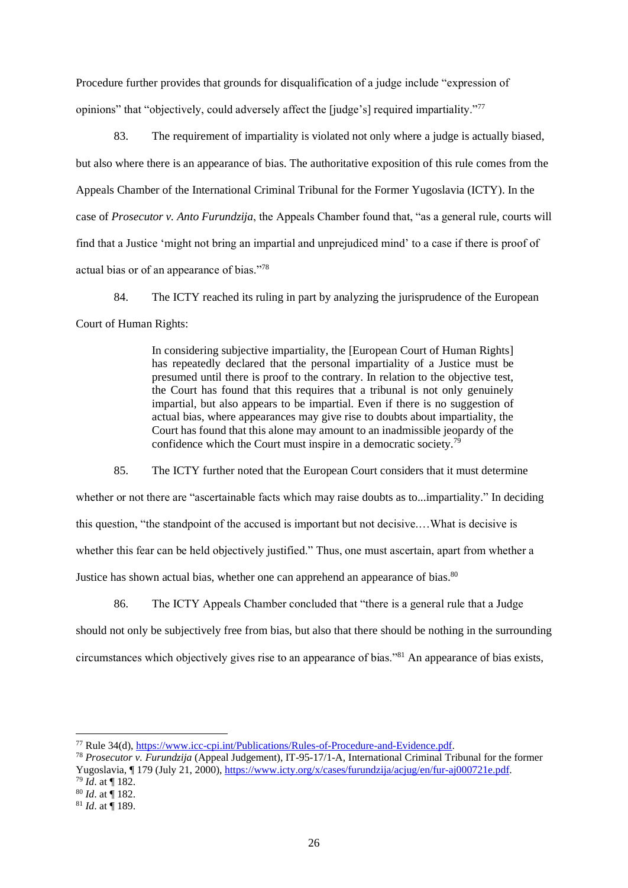Procedure further provides that grounds for disqualification of a judge include "expression of opinions" that "objectively, could adversely affect the [judge's] required impartiality."<sup>77</sup>

83. The requirement of impartiality is violated not only where a judge is actually biased, but also where there is an appearance of bias. The authoritative exposition of this rule comes from the Appeals Chamber of the International Criminal Tribunal for the Former Yugoslavia (ICTY). In the case of *Prosecutor v. Anto Furundzija*, the Appeals Chamber found that, "as a general rule, courts will find that a Justice 'might not bring an impartial and unprejudiced mind' to a case if there is proof of actual bias or of an appearance of bias."<sup>78</sup>

84. The ICTY reached its ruling in part by analyzing the jurisprudence of the European Court of Human Rights:

> In considering subjective impartiality, the [European Court of Human Rights] has repeatedly declared that the personal impartiality of a Justice must be presumed until there is proof to the contrary. In relation to the objective test, the Court has found that this requires that a tribunal is not only genuinely impartial, but also appears to be impartial. Even if there is no suggestion of actual bias, where appearances may give rise to doubts about impartiality, the Court has found that this alone may amount to an inadmissible jeopardy of the confidence which the Court must inspire in a democratic society.<sup>79</sup>

85. The ICTY further noted that the European Court considers that it must determine

whether or not there are "ascertainable facts which may raise doubts as to...impartiality." In deciding

this question, "the standpoint of the accused is important but not decisive.…What is decisive is

whether this fear can be held objectively justified." Thus, one must ascertain, apart from whether a

Justice has shown actual bias, whether one can apprehend an appearance of bias.<sup>80</sup>

86. The ICTY Appeals Chamber concluded that "there is a general rule that a Judge

should not only be subjectively free from bias, but also that there should be nothing in the surrounding circumstances which objectively gives rise to an appearance of bias."<sup>81</sup> An appearance of bias exists,

<sup>77</sup> Rule 34(d), [https://www.icc-cpi.int/Publications/Rules-of-Procedure-and-Evidence.pdf.](https://www.icc-cpi.int/Publications/Rules-of-Procedure-and-Evidence.pdf)

<sup>78</sup> *Prosecutor v. Furundzija* (Appeal Judgement), IT-95-17/1-A, International Criminal Tribunal for the former Yugoslavia, ¶ 179 (July 21, 2000), [https://www.icty.org/x/cases/furundzija/acjug/en/fur-aj000721e.pdf.](https://www.icty.org/x/cases/furundzija/acjug/en/fur-aj000721e.pdf)

<sup>79</sup> *Id*. at ¶ 182.

<sup>80</sup> *Id*. at ¶ 182.

<sup>81</sup> *Id*. at ¶ 189.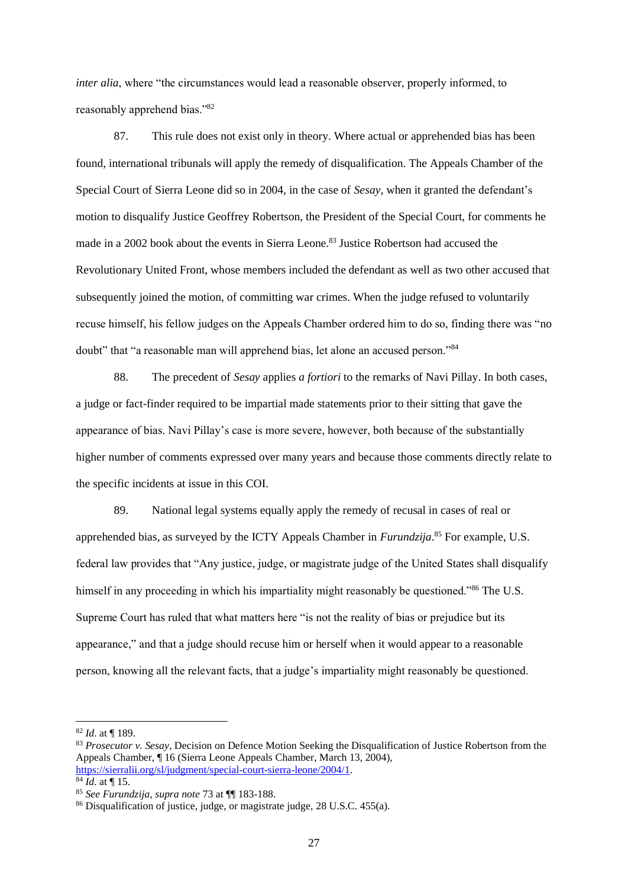*inter alia*, where "the circumstances would lead a reasonable observer, properly informed, to reasonably apprehend bias."82

87. This rule does not exist only in theory. Where actual or apprehended bias has been found, international tribunals will apply the remedy of disqualification. The Appeals Chamber of the Special Court of Sierra Leone did so in 2004, in the case of *Sesay*, when it granted the defendant's motion to disqualify Justice Geoffrey Robertson, the President of the Special Court, for comments he made in a 2002 book about the events in Sierra Leone.<sup>83</sup> Justice Robertson had accused the Revolutionary United Front, whose members included the defendant as well as two other accused that subsequently joined the motion, of committing war crimes. When the judge refused to voluntarily recuse himself, his fellow judges on the Appeals Chamber ordered him to do so, finding there was "no doubt" that "a reasonable man will apprehend bias, let alone an accused person."<sup>84</sup>

88. The precedent of *Sesay* applies *a fortiori* to the remarks of Navi Pillay. In both cases, a judge or fact-finder required to be impartial made statements prior to their sitting that gave the appearance of bias. Navi Pillay's case is more severe, however, both because of the substantially higher number of comments expressed over many years and because those comments directly relate to the specific incidents at issue in this COI.

89. National legal systems equally apply the remedy of recusal in cases of real or apprehended bias, as surveyed by the ICTY Appeals Chamber in *Furundzija*. <sup>85</sup> For example, U.S. federal law provides that "Any justice, judge, or magistrate judge of the United States shall disqualify himself in any proceeding in which his impartiality might reasonably be questioned."<sup>86</sup> The U.S. Supreme Court has ruled that what matters here "is not the reality of bias or prejudice but its appearance," and that a judge should recuse him or herself when it would appear to a reasonable person, knowing all the relevant facts, that a judge's impartiality might reasonably be questioned.

<sup>82</sup> *Id*. at ¶ 189.

<sup>83</sup> *Prosecutor v. Sesay*, Decision on Defence Motion Seeking the Disqualification of Justice Robertson from the Appeals Chamber, ¶ 16 (Sierra Leone Appeals Chamber, March 13, 2004), [https://sierralii.org/sl/judgment/special-court-sierra-leone/2004/1.](https://sierralii.org/sl/judgment/special-court-sierra-leone/2004/1)

 $\overline{84}$  *Id.* at ¶ 15.

<sup>85</sup> *See Furundzija*, *supra note* 73 at ¶¶ 183-188.

<sup>86</sup> Disqualification of justice, judge, or magistrate judge, 28 U.S.C. 455(a).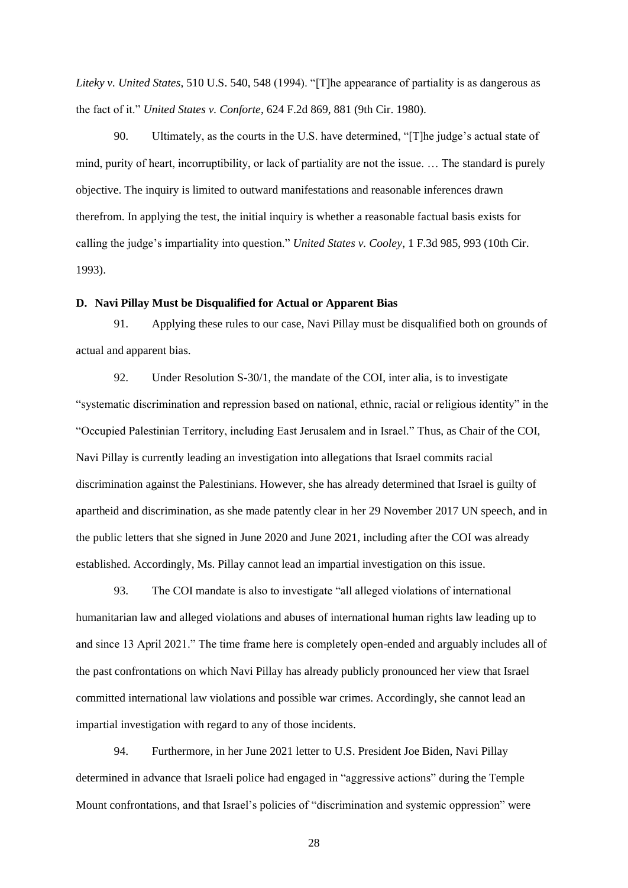*Liteky v. United States*, 510 U.S. 540, 548 (1994). "[T]he appearance of partiality is as dangerous as the fact of it." *United States v. Conforte*, 624 F.2d 869, 881 (9th Cir. 1980).

90. Ultimately, as the courts in the U.S. have determined, "[T]he judge's actual state of mind, purity of heart, incorruptibility, or lack of partiality are not the issue. … The standard is purely objective. The inquiry is limited to outward manifestations and reasonable inferences drawn therefrom. In applying the test, the initial inquiry is whether a reasonable factual basis exists for calling the judge's impartiality into question." *United States v. Cooley*, 1 F.3d 985, 993 (10th Cir. 1993).

### **D. Navi Pillay Must be Disqualified for Actual or Apparent Bias**

91. Applying these rules to our case, Navi Pillay must be disqualified both on grounds of actual and apparent bias.

92. Under Resolution S-30/1, the mandate of the COI, inter alia, is to investigate "systematic discrimination and repression based on national, ethnic, racial or religious identity" in the "Occupied Palestinian Territory, including East Jerusalem and in Israel." Thus, as Chair of the COI, Navi Pillay is currently leading an investigation into allegations that Israel commits racial discrimination against the Palestinians. However, she has already determined that Israel is guilty of apartheid and discrimination, as she made patently clear in her 29 November 2017 UN speech, and in the public letters that she signed in June 2020 and June 2021, including after the COI was already established. Accordingly, Ms. Pillay cannot lead an impartial investigation on this issue.

93. The COI mandate is also to investigate "all alleged violations of international humanitarian law and alleged violations and abuses of international human rights law leading up to and since 13 April 2021." The time frame here is completely open-ended and arguably includes all of the past confrontations on which Navi Pillay has already publicly pronounced her view that Israel committed international law violations and possible war crimes. Accordingly, she cannot lead an impartial investigation with regard to any of those incidents.

94. Furthermore, in her June 2021 letter to U.S. President Joe Biden, Navi Pillay determined in advance that Israeli police had engaged in "aggressive actions" during the Temple Mount confrontations, and that Israel's policies of "discrimination and systemic oppression" were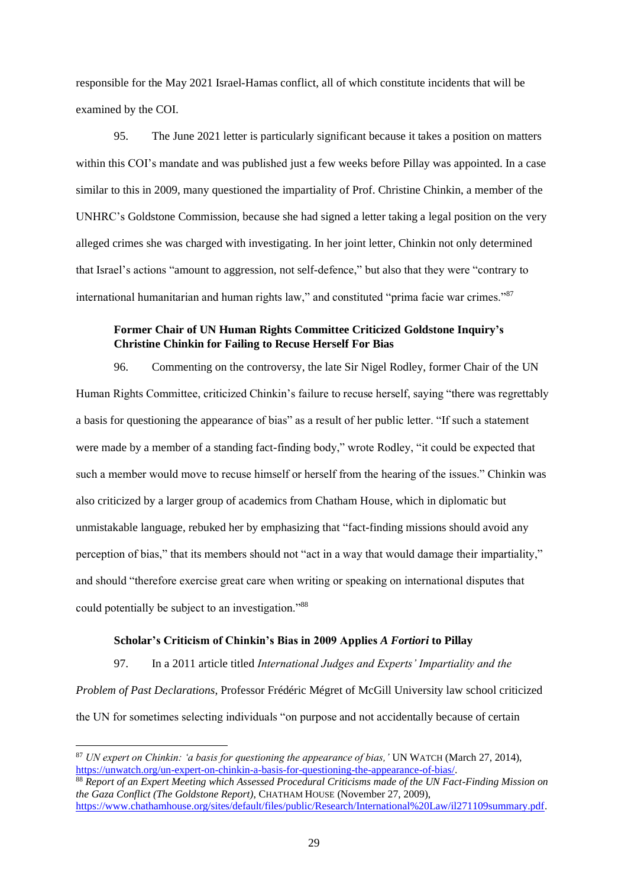responsible for the May 2021 Israel-Hamas conflict, all of which constitute incidents that will be examined by the COI.

95. The June 2021 letter is particularly significant because it takes a position on matters within this COI's mandate and was published just a few weeks before Pillay was appointed. In a case similar to this in 2009, many questioned the impartiality of Prof. Christine Chinkin, a member of the UNHRC's Goldstone Commission, because she had signed a letter taking a legal position on the very alleged crimes she was charged with investigating. In her joint letter, Chinkin not only determined that Israel's actions "amount to aggression, not self-defence," but also that they were "contrary to international humanitarian and human rights law," and constituted "prima facie war crimes."<sup>87</sup>

# **Former Chair of UN Human Rights Committee Criticized Goldstone Inquiry's Christine Chinkin for Failing to Recuse Herself For Bias**

96. Commenting on the controversy, the late Sir Nigel Rodley, former Chair of the UN Human Rights Committee, criticized Chinkin's failure to recuse herself, saying "there was regrettably a basis for questioning the appearance of bias" as a result of her public letter. "If such a statement were made by a member of a standing fact-finding body," wrote Rodley, "it could be expected that such a member would move to recuse himself or herself from the hearing of the issues." Chinkin was also criticized by a larger group of academics from Chatham House, which in diplomatic but unmistakable language, rebuked her by emphasizing that "fact-finding missions should avoid any perception of bias," that its members should not "act in a way that would damage their impartiality," and should "therefore exercise great care when writing or speaking on international disputes that could potentially be subject to an investigation."88

#### **Scholar's Criticism of Chinkin's Bias in 2009 Applies** *A Fortiori* **to Pillay**

97. In a 2011 article titled *International Judges and Experts' Impartiality and the Problem of Past Declarations*, Professor Frédéric Mégret of McGill University law school criticized the UN for sometimes selecting individuals "on purpose and not accidentally because of certain

<sup>87</sup> *UN expert on Chinkin: 'a basis for questioning the appearance of bias,'* UN WATCH (March 27, 2014), [https://unwatch.org/un-expert-on-chinkin-a-basis-for-questioning-the-appearance-of-bias/.](https://unwatch.org/un-expert-on-chinkin-a-basis-for-questioning-the-appearance-of-bias/)

<sup>88</sup> *Report of an Expert Meeting which Assessed Procedural Criticisms made of the UN Fact-Finding Mission on the Gaza Conflict (The Goldstone Report)*, CHATHAM HOUSE (November 27, 2009), [https://www.chathamhouse.org/sites/default/files/public/Research/International%20Law/il271109summary.pdf.](https://www.chathamhouse.org/sites/default/files/public/Research/International%20Law/il271109summary.pdf)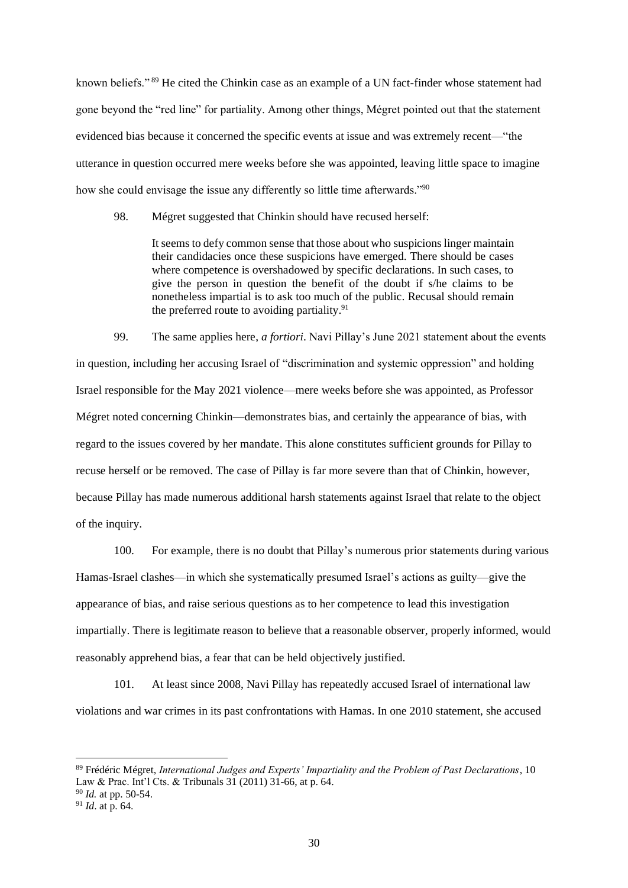known beliefs." <sup>89</sup> He cited the Chinkin case as an example of a UN fact-finder whose statement had gone beyond the "red line" for partiality. Among other things, Mégret pointed out that the statement evidenced bias because it concerned the specific events at issue and was extremely recent—"the utterance in question occurred mere weeks before she was appointed, leaving little space to imagine how she could envisage the issue any differently so little time afterwards."<sup>90</sup>

98. Mégret suggested that Chinkin should have recused herself:

It seems to defy common sense that those about who suspicions linger maintain their candidacies once these suspicions have emerged. There should be cases where competence is overshadowed by specific declarations. In such cases, to give the person in question the benefit of the doubt if s/he claims to be nonetheless impartial is to ask too much of the public. Recusal should remain the preferred route to avoiding partiality.<sup>91</sup>

99. The same applies here, *a fortiori*. Navi Pillay's June 2021 statement about the events in question, including her accusing Israel of "discrimination and systemic oppression" and holding Israel responsible for the May 2021 violence—mere weeks before she was appointed, as Professor Mégret noted concerning Chinkin—demonstrates bias, and certainly the appearance of bias, with regard to the issues covered by her mandate. This alone constitutes sufficient grounds for Pillay to recuse herself or be removed. The case of Pillay is far more severe than that of Chinkin, however, because Pillay has made numerous additional harsh statements against Israel that relate to the object of the inquiry.

100. For example, there is no doubt that Pillay's numerous prior statements during various Hamas-Israel clashes—in which she systematically presumed Israel's actions as guilty—give the appearance of bias, and raise serious questions as to her competence to lead this investigation impartially. There is legitimate reason to believe that a reasonable observer, properly informed, would reasonably apprehend bias, a fear that can be held objectively justified.

101. At least since 2008, Navi Pillay has repeatedly accused Israel of international law violations and war crimes in its past confrontations with Hamas. In one 2010 statement, she accused

<sup>89</sup> Frédéric Mégret, *International Judges and Experts' Impartiality and the Problem of Past Declarations*, 10 Law & Prac. Int'l Cts. & Tribunals 31 (2011) 31-66, at p. 64.

<sup>90</sup> *Id.* at pp. 50-54.

<sup>91</sup> *Id*. at p. 64.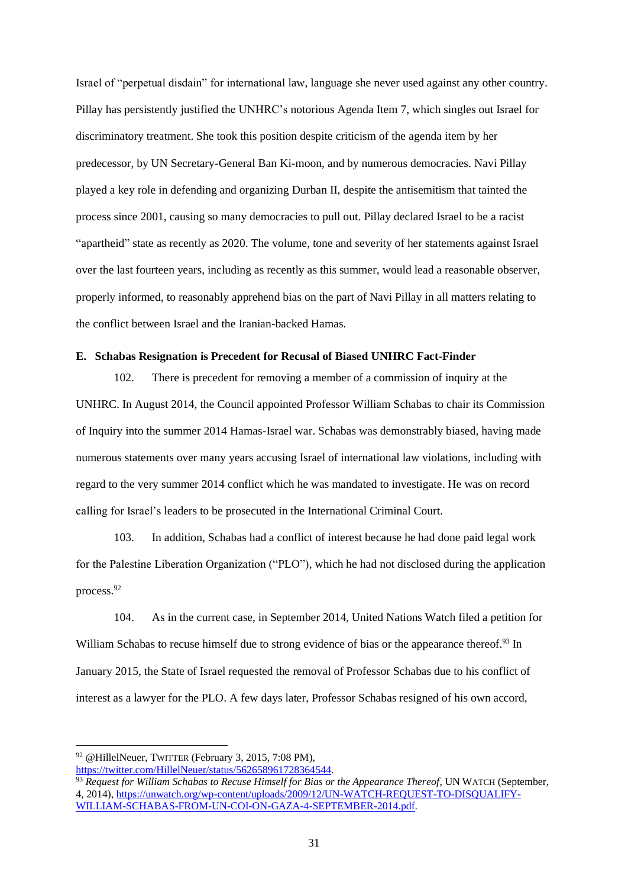Israel of "perpetual disdain" for international law, language she never used against any other country. Pillay has persistently justified the UNHRC's notorious Agenda Item 7, which singles out Israel for discriminatory treatment. She took this position despite criticism of the agenda item by her predecessor, by UN Secretary-General Ban Ki-moon, and by numerous democracies. Navi Pillay played a key role in defending and organizing Durban II, despite the antisemitism that tainted the process since 2001, causing so many democracies to pull out. Pillay declared Israel to be a racist "apartheid" state as recently as 2020. The volume, tone and severity of her statements against Israel over the last fourteen years, including as recently as this summer, would lead a reasonable observer, properly informed, to reasonably apprehend bias on the part of Navi Pillay in all matters relating to the conflict between Israel and the Iranian-backed Hamas.

### **E. Schabas Resignation is Precedent for Recusal of Biased UNHRC Fact-Finder**

102. There is precedent for removing a member of a commission of inquiry at the UNHRC. In August 2014, the Council appointed Professor William Schabas to chair its Commission of Inquiry into the summer 2014 Hamas-Israel war. Schabas was demonstrably biased, having made numerous statements over many years accusing Israel of international law violations, including with regard to the very summer 2014 conflict which he was mandated to investigate. He was on record calling for Israel's leaders to be prosecuted in the International Criminal Court.

103. In addition, Schabas had a conflict of interest because he had done paid legal work for the Palestine Liberation Organization ("PLO"), which he had not disclosed during the application process.<sup>92</sup>

104. As in the current case, in September 2014, United Nations Watch filed a petition for William Schabas to recuse himself due to strong evidence of bias or the appearance thereof.<sup>93</sup> In January 2015, the State of Israel requested the removal of Professor Schabas due to his conflict of interest as a lawyer for the PLO. A few days later, Professor Schabas resigned of his own accord,

<sup>92</sup> @HillelNeuer, TWITTER (February 3, 2015, 7:08 PM), [https://twitter.com/HillelNeuer/status/562658961728364544.](https://twitter.com/HillelNeuer/status/562658961728364544)

<sup>93</sup> *Request for William Schabas to Recuse Himself for Bias or the Appearance Thereof*, UN WATCH (September, 4, 2014), [https://unwatch.org/wp-content/uploads/2009/12/UN-WATCH-REQUEST-TO-DISQUALIFY-](https://unwatch.org/wp-content/uploads/2009/12/UN-WATCH-REQUEST-TO-DISQUALIFY-WILLIAM-SCHABAS-FROM-UN-COI-ON-GAZA-4-SEPTEMBER-2014.pdf)[WILLIAM-SCHABAS-FROM-UN-COI-ON-GAZA-4-SEPTEMBER-2014.pdf.](https://unwatch.org/wp-content/uploads/2009/12/UN-WATCH-REQUEST-TO-DISQUALIFY-WILLIAM-SCHABAS-FROM-UN-COI-ON-GAZA-4-SEPTEMBER-2014.pdf)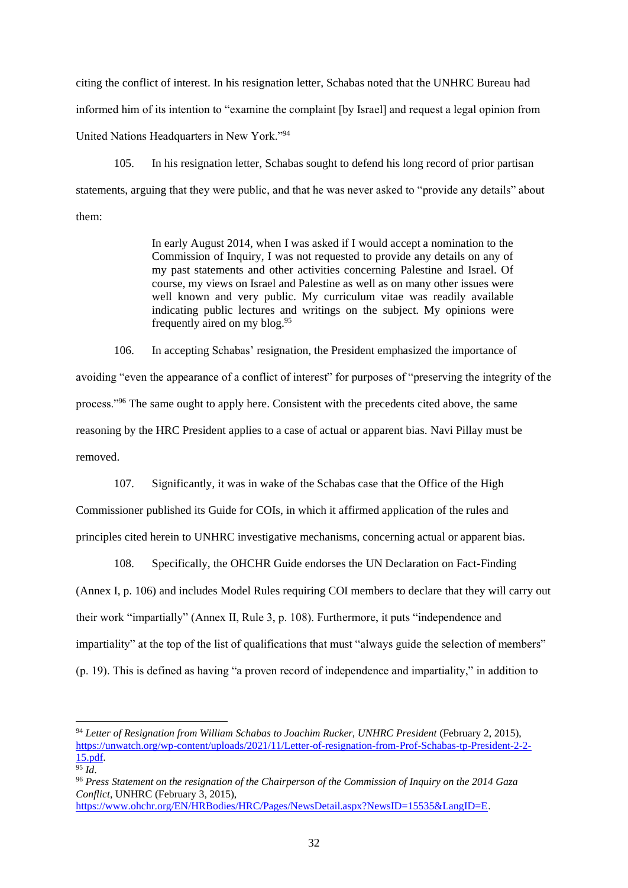citing the conflict of interest. In his resignation letter, Schabas noted that the UNHRC Bureau had informed him of its intention to "examine the complaint [by Israel] and request a legal opinion from United Nations Headquarters in New York."<sup>94</sup>

105. In his resignation letter, Schabas sought to defend his long record of prior partisan statements, arguing that they were public, and that he was never asked to "provide any details" about them:

> In early August 2014, when I was asked if I would accept a nomination to the Commission of Inquiry, I was not requested to provide any details on any of my past statements and other activities concerning Palestine and Israel. Of course, my views on Israel and Palestine as well as on many other issues were well known and very public. My curriculum vitae was readily available indicating public lectures and writings on the subject. My opinions were frequently aired on my blog.<sup>95</sup>

106. In accepting Schabas' resignation, the President emphasized the importance of avoiding "even the appearance of a conflict of interest" for purposes of "preserving the integrity of the process."<sup>96</sup> The same ought to apply here. Consistent with the precedents cited above, the same reasoning by the HRC President applies to a case of actual or apparent bias. Navi Pillay must be removed.

107. Significantly, it was in wake of the Schabas case that the Office of the High

Commissioner published its Guide for COIs, in which it affirmed application of the rules and principles cited herein to UNHRC investigative mechanisms, concerning actual or apparent bias.

108. Specifically, the OHCHR Guide endorses the UN Declaration on Fact-Finding (Annex I, p. 106) and includes Model Rules requiring COI members to declare that they will carry out their work "impartially" (Annex II, Rule 3, p. 108). Furthermore, it puts "independence and impartiality" at the top of the list of qualifications that must "always guide the selection of members" (p. 19). This is defined as having "a proven record of independence and impartiality," in addition to

<sup>94</sup> *Letter of Resignation from William Schabas to Joachim Rucker, UNHRC President* (February 2, 2015), [https://unwatch.org/wp-content/uploads/2021/11/Letter-of-resignation-from-Prof-Schabas-tp-President-2-2-](https://unwatch.org/wp-content/uploads/2021/11/Letter-of-resignation-from-Prof-Schabas-tp-President-2-2-15.pdf) [15.pdf.](https://unwatch.org/wp-content/uploads/2021/11/Letter-of-resignation-from-Prof-Schabas-tp-President-2-2-15.pdf)

 $95 \dot{Id}$ .

<sup>96</sup> *Press Statement on the resignation of the Chairperson of the Commission of Inquiry on the 2014 Gaza Conflict*, UNHRC (February 3, 2015),

[https://www.ohchr.org/EN/HRBodies/HRC/Pages/NewsDetail.aspx?NewsID=15535&LangID=E.](https://www.ohchr.org/EN/HRBodies/HRC/Pages/NewsDetail.aspx?NewsID=15535&LangID=E)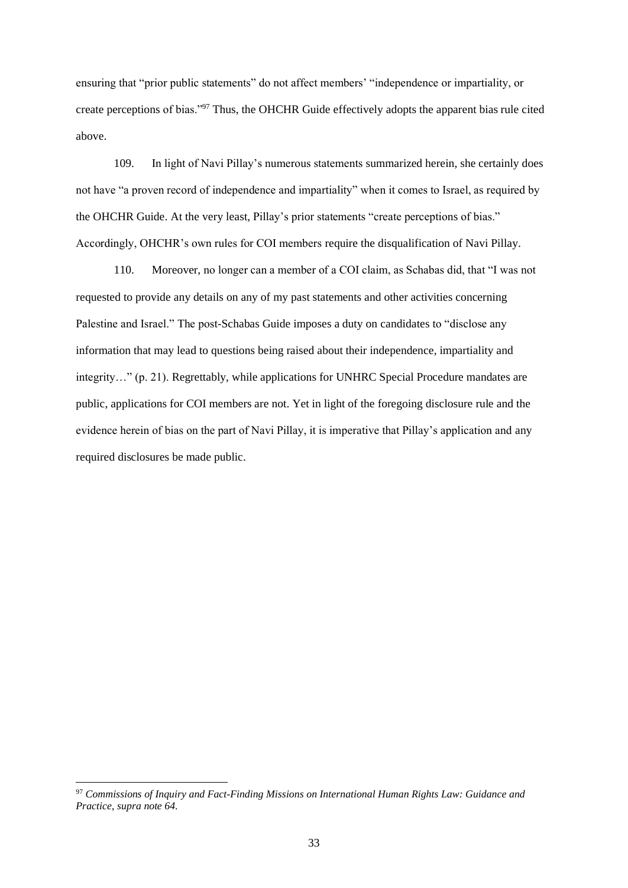ensuring that "prior public statements" do not affect members' "independence or impartiality, or create perceptions of bias."<sup>97</sup> Thus, the OHCHR Guide effectively adopts the apparent bias rule cited above.

109. In light of Navi Pillay's numerous statements summarized herein, she certainly does not have "a proven record of independence and impartiality" when it comes to Israel, as required by the OHCHR Guide. At the very least, Pillay's prior statements "create perceptions of bias." Accordingly, OHCHR's own rules for COI members require the disqualification of Navi Pillay.

110. Moreover, no longer can a member of a COI claim, as Schabas did, that "I was not requested to provide any details on any of my past statements and other activities concerning Palestine and Israel." The post-Schabas Guide imposes a duty on candidates to "disclose any information that may lead to questions being raised about their independence, impartiality and integrity…" (p. 21). Regrettably, while applications for UNHRC Special Procedure mandates are public, applications for COI members are not. Yet in light of the foregoing disclosure rule and the evidence herein of bias on the part of Navi Pillay, it is imperative that Pillay's application and any required disclosures be made public.

<sup>97</sup> *Commissions of Inquiry and Fact-Finding Missions on International Human Rights Law: Guidance and Practice*, *supra note 64*.